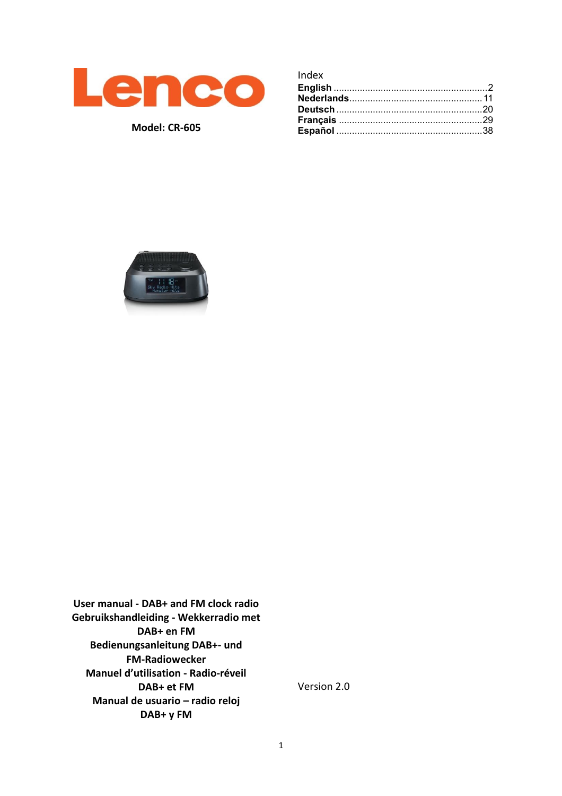

**Model: CR-605**

| Index |  |
|-------|--|
|       |  |
|       |  |
|       |  |
|       |  |
|       |  |



**User manual - DAB+ and FM clock radio Gebruikshandleiding - Wekkerradio met DAB+ en FM Bedienungsanleitung DAB+- und FM-Radiowecker Manuel d'utilisation - Radio-réveil DAB+ et FM Manual de usuario – radio reloj DAB+ y FM**

Version 2.0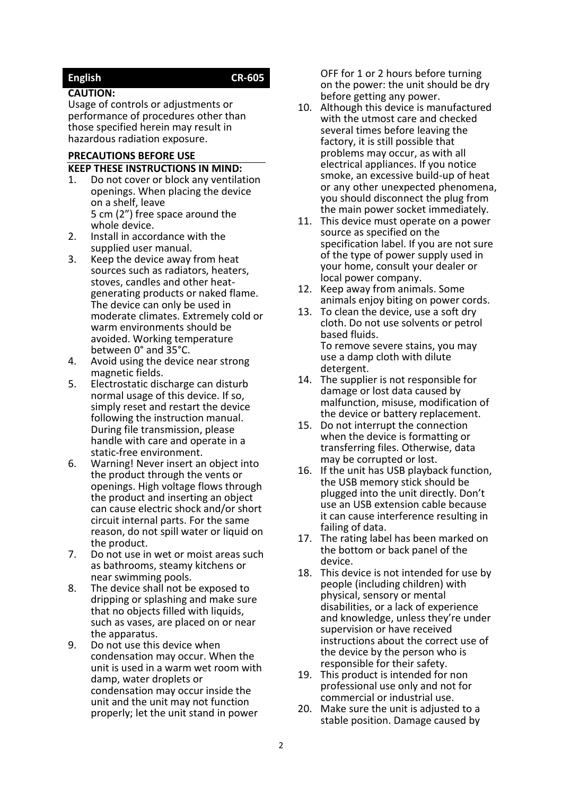# <span id="page-1-0"></span>**English CR-605**

#### **CAUTION:**

Usage of controls or adjustments or performance of procedures other than those specified herein may result in hazardous radiation exposure.

#### **PRECAUTIONS BEFORE USE**

#### **KEEP THESE INSTRUCTIONS IN MIND:**

- 1. Do not cover or block any ventilation openings. When placing the device on a shelf, leave 5 cm (2") free space around the whole device.
- 2. Install in accordance with the supplied user manual.
- 3. Keep the device away from heat sources such as radiators, heaters, stoves, candles and other heatgenerating products or naked flame. The device can only be used in moderate climates. Extremely cold or warm environments should be avoided. Working temperature between 0° and 35°C.
- 4. Avoid using the device near strong magnetic fields.
- 5. Electrostatic discharge can disturb normal usage of this device. If so, simply reset and restart the device following the instruction manual. During file transmission, please handle with care and operate in a static-free environment.
- 6. Warning! Never insert an object into the product through the vents or openings. High voltage flows through the product and inserting an object can cause electric shock and/or short circuit internal parts. For the same reason, do not spill water or liquid on the product.
- 7. Do not use in wet or moist areas such as bathrooms, steamy kitchens or near swimming pools.
- 8. The device shall not be exposed to dripping or splashing and make sure that no objects filled with liquids, such as vases, are placed on or near the apparatus.
- 9. Do not use this device when condensation may occur. When the unit is used in a warm wet room with damp, water droplets or condensation may occur inside the unit and the unit may not function properly; let the unit stand in power

OFF for 1 or 2 hours before turning on the power: the unit should be dry before getting any power.

- 10. Although this device is manufactured with the utmost care and checked several times before leaving the factory, it is still possible that problems may occur, as with all electrical appliances. If you notice smoke, an excessive build-up of heat or any other unexpected phenomena, you should disconnect the plug from the main power socket immediately.
- 11. This device must operate on a power source as specified on the specification label. If you are not sure of the type of power supply used in your home, consult your dealer or local power company.
- 12. Keep away from animals. Some animals enjoy biting on power cords.
- 13. To clean the device, use a soft dry cloth. Do not use solvents or petrol based fluids. To remove severe stains, you may use a damp cloth with dilute detergent.
- 14. The supplier is not responsible for damage or lost data caused by malfunction, misuse, modification of the device or battery replacement.
- 15. Do not interrupt the connection when the device is formatting or transferring files. Otherwise, data may be corrupted or lost.
- 16. If the unit has USB playback function, the USB memory stick should be plugged into the unit directly. Don't use an USB extension cable because it can cause interference resulting in failing of data.
- 17. The rating label has been marked on the bottom or back panel of the device.
- 18. This device is not intended for use by people (including children) with physical, sensory or mental disabilities, or a lack of experience and knowledge, unless they're under supervision or have received instructions about the correct use of the device by the person who is responsible for their safety.
- 19. This product is intended for non professional use only and not for commercial or industrial use.
- 20. Make sure the unit is adjusted to a stable position. Damage caused by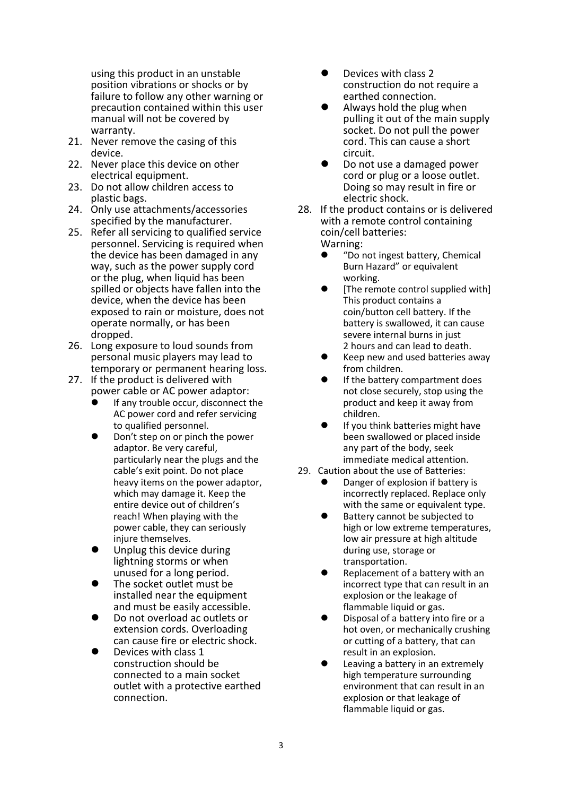using this product in an unstable position vibrations or shocks or by failure to follow any other warning or precaution contained within this user manual will not be covered by warranty.

- 21. Never remove the casing of this device.
- 22. Never place this device on other electrical equipment.
- 23. Do not allow children access to plastic bags.
- 24. Only use attachments/accessories specified by the manufacturer.
- 25. Refer all servicing to qualified service personnel. Servicing is required when the device has been damaged in any way, such as the power supply cord or the plug, when liquid has been spilled or objects have fallen into the device, when the device has been exposed to rain or moisture, does not operate normally, or has been dropped.
- 26. Long exposure to loud sounds from personal music players may lead to temporary or permanent hearing loss.
- 27. If the product is delivered with power cable or AC power adaptor:
	- ⚫ If any trouble occur, disconnect the AC power cord and refer servicing to qualified personnel.
	- ⚫ Don't step on or pinch the power adaptor. Be very careful, particularly near the plugs and the cable's exit point. Do not place heavy items on the power adaptor, which may damage it. Keep the entire device out of children's reach! When playing with the power cable, they can seriously injure themselves.
	- ⚫ Unplug this device during lightning storms or when unused for a long period.
	- ⚫ The socket outlet must be installed near the equipment and must be easily accessible.
	- ⚫ Do not overload ac outlets or extension cords. Overloading can cause fire or electric shock.
	- ⚫ Devices with class 1 construction should be connected to a main socket outlet with a protective earthed connection.
- ⚫ Devices with class 2 construction do not require a earthed connection.
- Always hold the plug when pulling it out of the main supply socket. Do not pull the power cord. This can cause a short circuit.
- ⚫ Do not use a damaged power cord or plug or a loose outlet. Doing so may result in fire or electric shock.
- 28. If the product contains or is delivered with a remote control containing coin/cell batteries: Warning:
	- ⚫ "Do not ingest battery, Chemical Burn Hazard" or equivalent working.
	- [The remote control supplied with] This product contains a coin/button cell battery. If the battery is swallowed, it can cause severe internal burns in just 2 hours and can lead to death.
	- ⚫ Keep new and used batteries away from children.
	- ⚫ If the battery compartment does not close securely, stop using the product and keep it away from children.
	- If you think batteries might have been swallowed or placed inside any part of the body, seek immediate medical attention.
- 29. Caution about the use of Batteries:
	- ⚫ Danger of explosion if battery is incorrectly replaced. Replace only with the same or equivalent type.
	- ⚫ Battery cannot be subjected to high or low extreme temperatures, low air pressure at high altitude during use, storage or transportation.
	- ⚫ Replacement of a battery with an incorrect type that can result in an explosion or the leakage of flammable liquid or gas.
	- ⚫ Disposal of a battery into fire or a hot oven, or mechanically crushing or cutting of a battery, that can result in an explosion.
	- ⚫ Leaving a battery in an extremely high temperature surrounding environment that can result in an explosion or that leakage of flammable liquid or gas.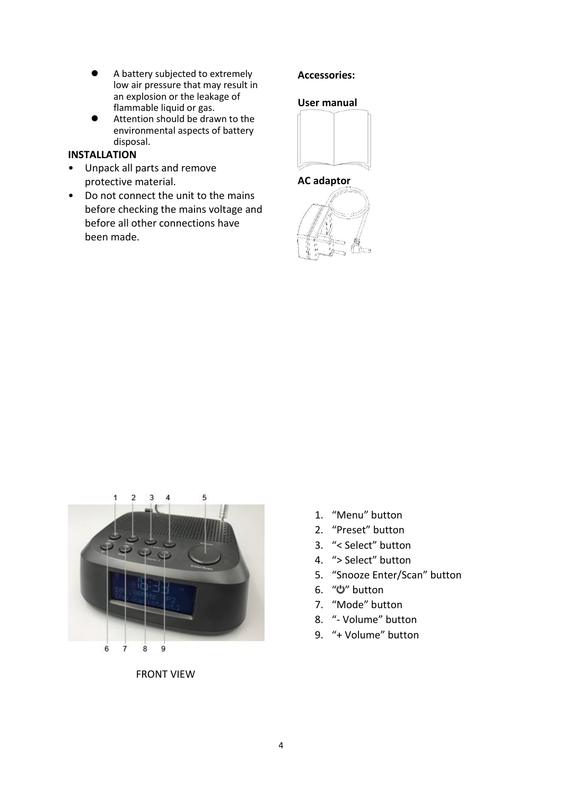- A battery subjected to extremely low air pressure that may result in an explosion or the leakage of flammable liquid or gas.
- ⚫ Attention should be drawn to the environmental aspects of battery disposal.

## **INSTALLATION**

- Unpack all parts and remove protective material.
- Do not connect the unit to the mains before checking the mains voltage and before all other connections have been made.

## **Accessories:**

## **User manual**



#### **AC adaptor**





FRONT VIEW

- 1. "Menu" button
- 2. "Preset" button
- 3. "< Select" button
- 4. "> Select" button
- 5. "Snooze Enter/Scan" button
- 6. " " button
- 7. "Mode" button
- 8. "- Volume" button
- 9. "+ Volume" button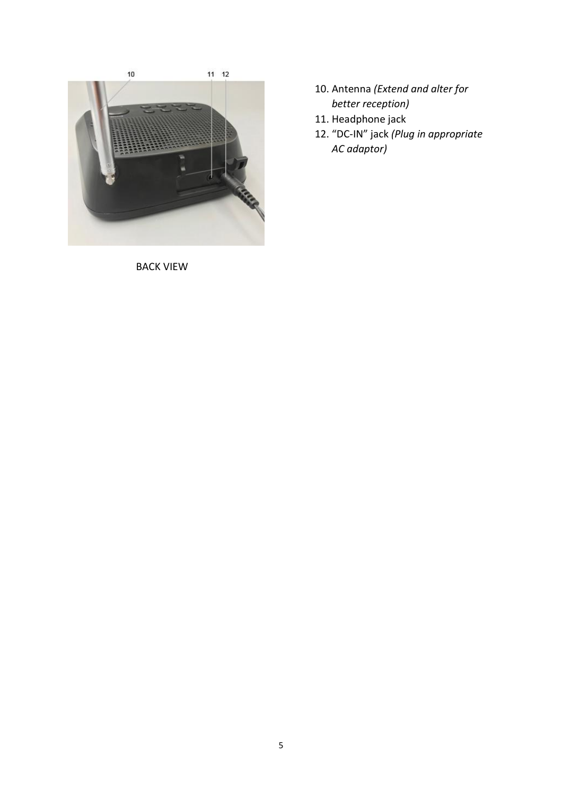

BACK VIEW

- 10. Antenna *(Extend and alter for better reception)*
- 11. Headphone jack
- 12. "DC-IN" jack *(Plug in appropriate AC adaptor)*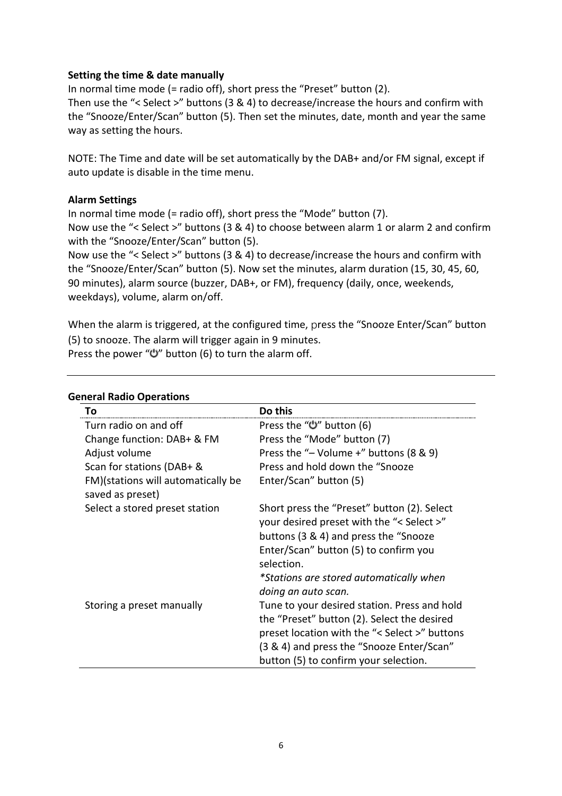## **Setting the time & date manually**

In normal time mode (= radio off), short press the "Preset" button (2). Then use the "< Select >" buttons (3 & 4) to decrease/increase the hours and confirm with the "Snooze/Enter/Scan" button (5). Then set the minutes, date, month and year the same way as setting the hours.

NOTE: The Time and date will be set automatically by the DAB+ and/or FM signal, except if auto update is disable in the time menu.

## **Alarm Settings**

In normal time mode (= radio off), short press the "Mode" button (7). Now use the "< Select >" buttons (3 & 4) to choose between alarm 1 or alarm 2 and confirm with the "Snooze/Enter/Scan" button (5).

Now use the "< Select >" buttons (3 & 4) to decrease/increase the hours and confirm with the "Snooze/Enter/Scan" button (5). Now set the minutes, alarm duration (15, 30, 45, 60, 90 minutes), alarm source (buzzer, DAB+, or FM), frequency (daily, once, weekends, weekdays), volume, alarm on/off.

When the alarm is triggered, at the configured time, press the "Snooze Enter/Scan" button (5) to snooze. The alarm will trigger again in 9 minutes. Press the power " $U$ " button (6) to turn the alarm off.

| To                                                     | Do this                                                                                                                           |
|--------------------------------------------------------|-----------------------------------------------------------------------------------------------------------------------------------|
| Turn radio on and off                                  | Press the "ש" button (6)                                                                                                          |
| Change function: DAB+ & FM                             | Press the "Mode" button (7)                                                                                                       |
| Adjust volume                                          | Press the "- Volume +" buttons $(8 \& 9)$                                                                                         |
| Scan for stations (DAB+ &                              | Press and hold down the "Snooze"                                                                                                  |
| FM)(stations will automatically be<br>saved as preset) | Enter/Scan" button (5)                                                                                                            |
| Select a stored preset station                         | Short press the "Preset" button (2). Select<br>your desired preset with the "< Select >"<br>buttons (3 & 4) and press the "Snooze |
|                                                        | Enter/Scan" button (5) to confirm you<br>selection.                                                                               |
|                                                        | *Stations are stored automatically when<br>doing an auto scan.                                                                    |
| Storing a preset manually                              | Tune to your desired station. Press and hold                                                                                      |
|                                                        | the "Preset" button (2). Select the desired                                                                                       |
|                                                        | preset location with the "< Select >" buttons                                                                                     |
|                                                        | (3 & 4) and press the "Snooze Enter/Scan"                                                                                         |
|                                                        | button (5) to confirm your selection.                                                                                             |

## **General Radio Operations**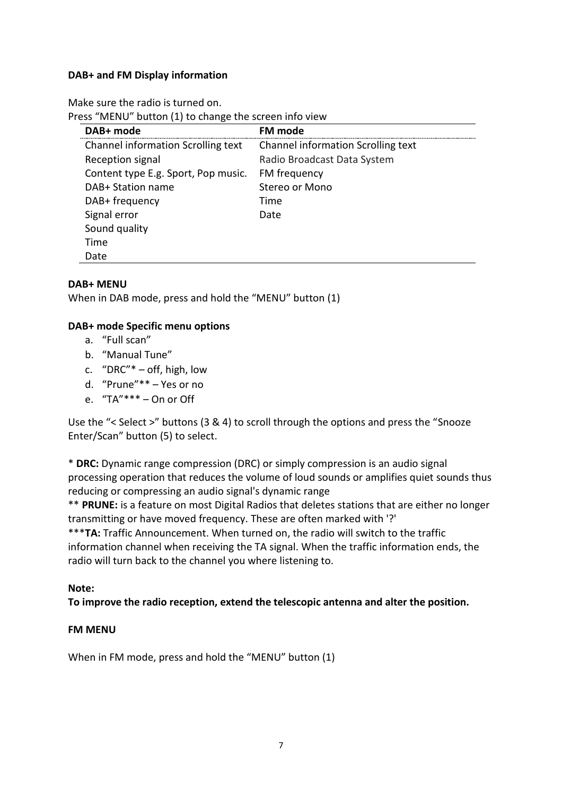## **DAB+ and FM Display information**

Make sure the radio is turned on.

Press "MENU" button (1) to change the screen info view

| DAB+ mode                           | FM mode                            |
|-------------------------------------|------------------------------------|
| Channel information Scrolling text  | Channel information Scrolling text |
| Reception signal                    | Radio Broadcast Data System        |
| Content type E.g. Sport, Pop music. | FM frequency                       |
| DAB+ Station name                   | Stereo or Mono                     |
| DAB+ frequency                      | Time                               |
| Signal error                        | Date                               |
| Sound quality                       |                                    |
| Time                                |                                    |
| Date                                |                                    |

#### **DAB+ MENU**

When in DAB mode, press and hold the "MENU" button (1)

#### **DAB+ mode Specific menu options**

- a. "Full scan"
- b. "Manual Tune"
- c. "DRC"\* off, high, low
- d. "Prune"\*\* Yes or no
- e. "TA"\*\*\* On or Off

Use the "< Select >" buttons (3 & 4) to scroll through the options and press the "Snooze Enter/Scan" button (5) to select.

\* **DRC:** Dynamic range compression (DRC) or simply compression is an audio signal processing operation that reduces the volume of loud sounds or amplifies quiet sounds thus reducing or compressing an audio signal's dynamic range

\*\* **PRUNE:** is a feature on most Digital Radios that deletes stations that are either no longer transmitting or have moved frequency. These are often marked with '?'

\*\*\***TA:** Traffic Announcement. When turned on, the radio will switch to the traffic information channel when receiving the TA signal. When the traffic information ends, the radio will turn back to the channel you where listening to.

#### **Note:**

**To improve the radio reception, extend the telescopic antenna and alter the position.**

#### **FM MENU**

When in FM mode, press and hold the "MENU" button (1)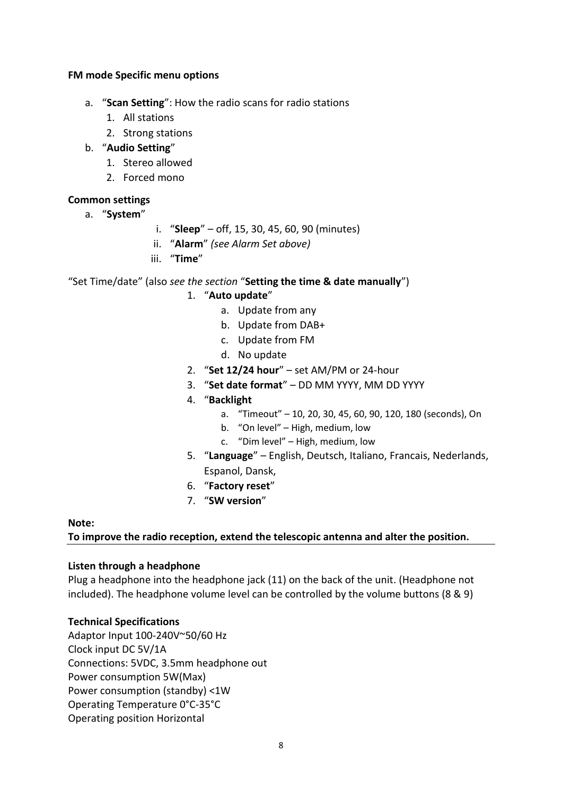## **FM mode Specific menu options**

- a. "**Scan Setting**": How the radio scans for radio stations
	- 1. All stations
	- 2. Strong stations
- b. "**Audio Setting**"
	- 1. Stereo allowed
	- 2. Forced mono

## **Common settings**

- a. "**System**"
- i. "**Sleep**" off, 15, 30, 45, 60, 90 (minutes)
- ii. "**Alarm**" *(see Alarm Set above)*
- iii. "**Time**"

## "Set Time/date" (also *see the section* "**Setting the time & date manually**")

- 1. "**Auto update**"
	- a. Update from any
	- b. Update from DAB+
	- c. Update from FM
	- d. No update
- 2. "**Set 12/24 hour**" set AM/PM or 24-hour
- 3. "**Set date format**" DD MM YYYY, MM DD YYYY
- 4. "**Backlight**
	- a. "Timeout" 10, 20, 30, 45, 60, 90, 120, 180 (seconds), On
	- b. "On level" High, medium, low
	- c. "Dim level" High, medium, low
- 5. "**Language**" English, Deutsch, Italiano, Francais, Nederlands, Espanol, Dansk,
- 6. "**Factory reset**"
- 7. "**SW version**"

#### **Note:**

#### **To improve the radio reception, extend the telescopic antenna and alter the position.**

#### **Listen through a headphone**

Plug a headphone into the headphone jack (11) on the back of the unit. (Headphone not included). The headphone volume level can be controlled by the volume buttons (8 & 9)

#### **Technical Specifications**

Adaptor Input 100-240V~50/60 Hz Clock input DC 5V/1A Connections: 5VDC, 3.5mm headphone out Power consumption 5W(Max) Power consumption (standby) <1W Operating Temperature 0°C-35°C Operating position Horizontal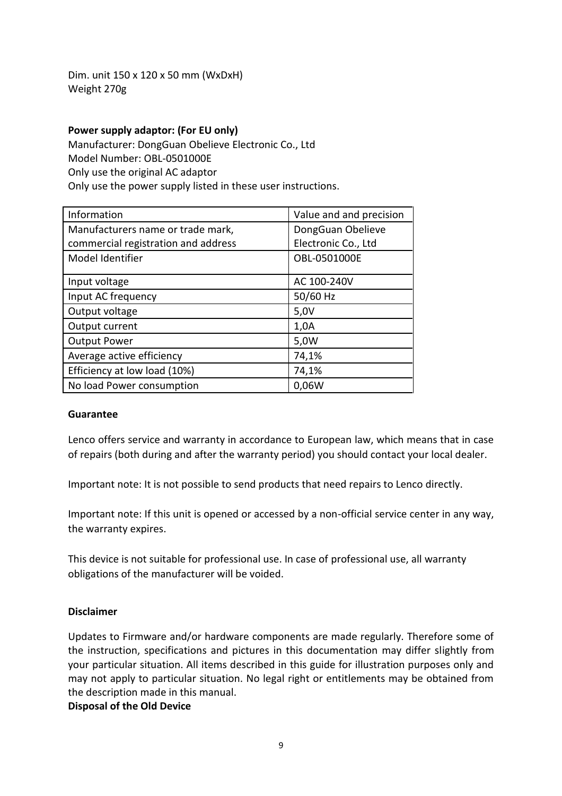Dim. unit 150 x 120 x 50 mm (WxDxH) Weight 270g

#### **Power supply adaptor: (For EU only)**

Manufacturer: DongGuan Obelieve Electronic Co., Ltd Model Number: OBL-0501000E Only use the original AC adaptor Only use the power supply listed in these user instructions.

| Information                         | Value and and precision |
|-------------------------------------|-------------------------|
| Manufacturers name or trade mark,   | DongGuan Obelieve       |
| commercial registration and address | Electronic Co., Ltd     |
| Model Identifier                    | OBL-0501000E            |
| Input voltage                       | AC 100-240V             |
| Input AC frequency                  | 50/60 Hz                |
| Output voltage                      | 5,0V                    |
| Output current                      | 1,0A                    |
| <b>Output Power</b>                 | 5,0W                    |
| Average active efficiency           | 74,1%                   |
| Efficiency at low load (10%)        | 74,1%                   |
| No load Power consumption           | 0,06W                   |

#### **Guarantee**

Lenco offers service and warranty in accordance to European law, which means that in case of repairs (both during and after the warranty period) you should contact your local dealer.

Important note: It is not possible to send products that need repairs to Lenco directly.

Important note: If this unit is opened or accessed by a non-official service center in any way, the warranty expires.

This device is not suitable for professional use. In case of professional use, all warranty obligations of the manufacturer will be voided.

#### **Disclaimer**

Updates to Firmware and/or hardware components are made regularly. Therefore some of the instruction, specifications and pictures in this documentation may differ slightly from your particular situation. All items described in this guide for illustration purposes only and may not apply to particular situation. No legal right or entitlements may be obtained from the description made in this manual.

#### **Disposal of the Old Device**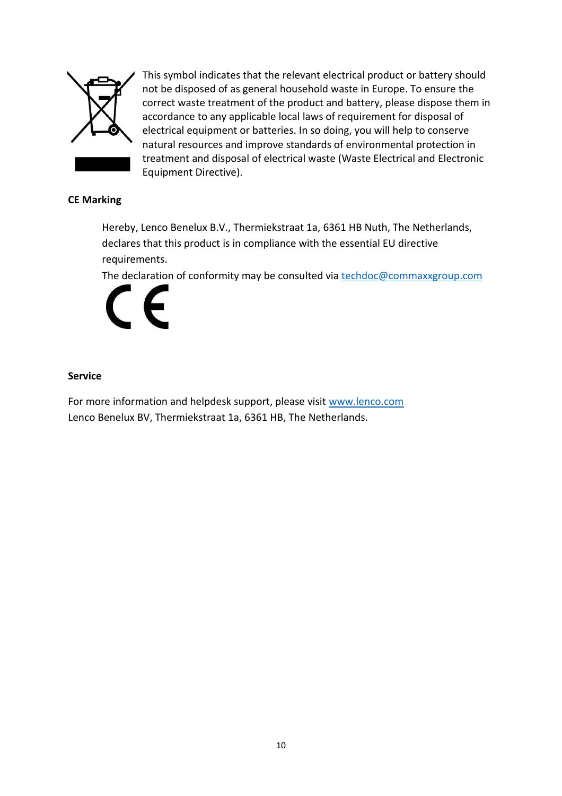

This symbol indicates that the relevant electrical product or battery should not be disposed of as general household waste in Europe. To ensure the correct waste treatment of the product and battery, please dispose them in accordance to any applicable local laws of requirement for disposal of electrical equipment or batteries. In so doing, you will help to conserve natural resources and improve standards of environmental protection in treatment and disposal of electrical waste (Waste Electrical and Electronic Equipment Directive).

## **CE Marking**

Hereby, Lenco Benelux B.V., Thermiekstraat 1a, 6361 HB Nuth, The Netherlands, declares that this product is in compliance with the essential EU directive requirements.

The declaration of conformity may be consulted via [techdoc@commaxxgroup.com](mailto:techdoc@commaxxgroup.com)



## **Service**

For more information and helpdesk support, please visit [www.lenco.com](http://www.lenco.com/) Lenco Benelux BV, Thermiekstraat 1a, 6361 HB, The Netherlands.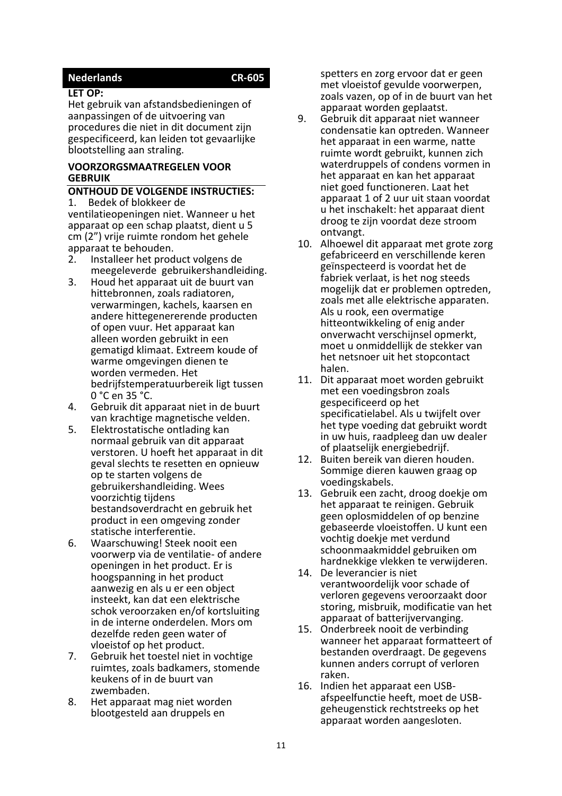### <span id="page-10-0"></span>**Nederlands CR-605**

#### **LET OP:**

Het gebruik van afstandsbedieningen of aanpassingen of de uitvoering van procedures die niet in dit document zijn gespecificeerd, kan leiden tot gevaarlijke blootstelling aan straling.

#### **VOORZORGSMAATREGELEN VOOR GEBRUIK**

#### **ONTHOUD DE VOLGENDE INSTRUCTIES:** 1. Bedek of blokkeer de

ventilatieopeningen niet. Wanneer u het apparaat op een schap plaatst, dient u 5 cm (2") vrije ruimte rondom het gehele apparaat te behouden.

- 2. Installeer het product volgens de meegeleverde gebruikershandleiding.
- 3. Houd het apparaat uit de buurt van hittebronnen, zoals radiatoren, verwarmingen, kachels, kaarsen en andere hittegenererende producten of open vuur. Het apparaat kan alleen worden gebruikt in een gematigd klimaat. Extreem koude of warme omgevingen dienen te worden vermeden. Het bedrijfstemperatuurbereik ligt tussen 0 °C en 35 °C.
- 4. Gebruik dit apparaat niet in de buurt van krachtige magnetische velden.
- 5. Elektrostatische ontlading kan normaal gebruik van dit apparaat verstoren. U hoeft het apparaat in dit geval slechts te resetten en opnieuw op te starten volgens de gebruikershandleiding. Wees voorzichtig tijdens bestandsoverdracht en gebruik het product in een omgeving zonder statische interferentie.
- 6. Waarschuwing! Steek nooit een voorwerp via de ventilatie- of andere openingen in het product. Er is hoogspanning in het product aanwezig en als u er een object insteekt, kan dat een elektrische schok veroorzaken en/of kortsluiting in de interne onderdelen. Mors om dezelfde reden geen water of vloeistof op het product.
- 7. Gebruik het toestel niet in vochtige ruimtes, zoals badkamers, stomende keukens of in de buurt van zwembaden.
- 8. Het apparaat mag niet worden blootgesteld aan druppels en

spetters en zorg ervoor dat er geen met vloeistof gevulde voorwerpen, zoals vazen, op of in de buurt van het apparaat worden geplaatst.

- 9. Gebruik dit apparaat niet wanneer condensatie kan optreden. Wanneer het apparaat in een warme, natte ruimte wordt gebruikt, kunnen zich waterdruppels of condens vormen in het apparaat en kan het apparaat niet goed functioneren. Laat het apparaat 1 of 2 uur uit staan voordat u het inschakelt: het apparaat dient droog te zijn voordat deze stroom ontvangt.
- 10. Alhoewel dit apparaat met grote zorg gefabriceerd en verschillende keren geïnspecteerd is voordat het de fabriek verlaat, is het nog steeds mogelijk dat er problemen optreden, zoals met alle elektrische apparaten. Als u rook, een overmatige hitteontwikkeling of enig ander onverwacht verschijnsel opmerkt, moet u onmiddellijk de stekker van het netsnoer uit het stopcontact halen.
- 11. Dit apparaat moet worden gebruikt met een voedingsbron zoals gespecificeerd op het specificatielabel. Als u twijfelt over het type voeding dat gebruikt wordt in uw huis, raadpleeg dan uw dealer of plaatselijk energiebedrijf.
- 12. Buiten bereik van dieren houden. Sommige dieren kauwen graag op voedingskabels.
- 13. Gebruik een zacht, droog doekje om het apparaat te reinigen. Gebruik geen oplosmiddelen of op benzine gebaseerde vloeistoffen. U kunt een vochtig doekje met verdund schoonmaakmiddel gebruiken om hardnekkige vlekken te verwijderen.
- 14. De leverancier is niet verantwoordelijk voor schade of verloren gegevens veroorzaakt door storing, misbruik, modificatie van het apparaat of batterijvervanging.
- 15. Onderbreek nooit de verbinding wanneer het apparaat formatteert of bestanden overdraagt. De gegevens kunnen anders corrupt of verloren raken.
- 16. Indien het apparaat een USBafspeelfunctie heeft, moet de USBgeheugenstick rechtstreeks op het apparaat worden aangesloten.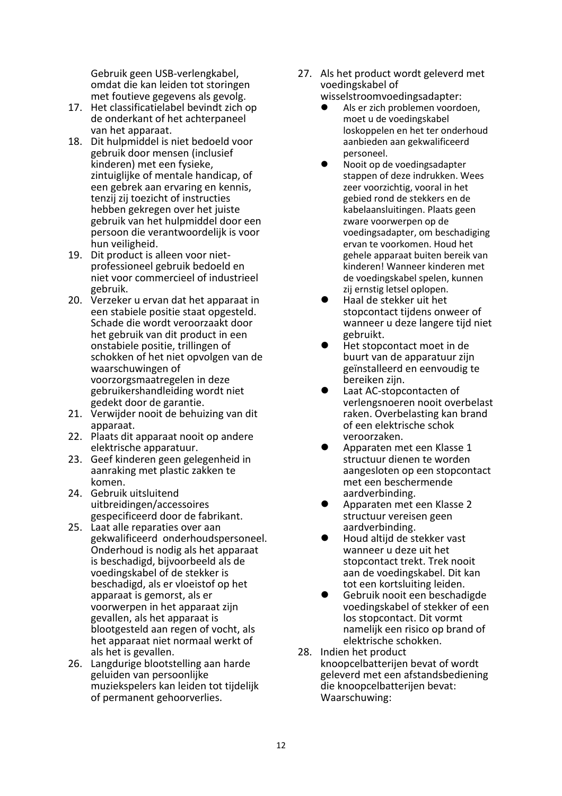Gebruik geen USB-verlengkabel, omdat die kan leiden tot storingen met foutieve gegevens als gevolg.

- 17. Het classificatielabel bevindt zich op de onderkant of het achterpaneel van het apparaat.
- 18. Dit hulpmiddel is niet bedoeld voor gebruik door mensen (inclusief kinderen) met een fysieke, zintuiglijke of mentale handicap, of een gebrek aan ervaring en kennis, tenzij zij toezicht of instructies hebben gekregen over het juiste gebruik van het hulpmiddel door een persoon die verantwoordelijk is voor hun veiligheid.
- 19. Dit product is alleen voor nietprofessioneel gebruik bedoeld en niet voor commercieel of industrieel gebruik.
- 20. Verzeker u ervan dat het apparaat in een stabiele positie staat opgesteld. Schade die wordt veroorzaakt door het gebruik van dit product in een onstabiele positie, trillingen of schokken of het niet opvolgen van de waarschuwingen of voorzorgsmaatregelen in deze gebruikershandleiding wordt niet gedekt door de garantie.
- 21. Verwijder nooit de behuizing van dit apparaat.
- 22. Plaats dit apparaat nooit op andere elektrische apparatuur.
- 23. Geef kinderen geen gelegenheid in aanraking met plastic zakken te komen.
- 24. Gebruik uitsluitend uitbreidingen/accessoires gespecificeerd door de fabrikant.
- 25. Laat alle reparaties over aan gekwalificeerd onderhoudspersoneel. Onderhoud is nodig als het apparaat is beschadigd, bijvoorbeeld als de voedingskabel of de stekker is beschadigd, als er vloeistof op het apparaat is gemorst, als er voorwerpen in het apparaat zijn gevallen, als het apparaat is blootgesteld aan regen of vocht, als het apparaat niet normaal werkt of als het is gevallen.
- 26. Langdurige blootstelling aan harde geluiden van persoonlijke muziekspelers kan leiden tot tijdelijk of permanent gehoorverlies.
- 27. Als het product wordt geleverd met voedingskabel of
	- wisselstroomvoedingsadapter:
	- ⚫ Als er zich problemen voordoen, moet u de voedingskabel loskoppelen en het ter onderhoud aanbieden aan gekwalificeerd personeel.
	- ⚫ Nooit op de voedingsadapter stappen of deze indrukken. Wees zeer voorzichtig, vooral in het gebied rond de stekkers en de kabelaansluitingen. Plaats geen zware voorwerpen op de voedingsadapter, om beschadiging ervan te voorkomen. Houd het gehele apparaat buiten bereik van kinderen! Wanneer kinderen met de voedingskabel spelen, kunnen zij ernstig letsel oplopen.
	- ⚫ Haal de stekker uit het stopcontact tijdens onweer of wanneer u deze langere tijd niet gebruikt.
	- ⚫ Het stopcontact moet in de buurt van de apparatuur zijn geïnstalleerd en eenvoudig te bereiken zijn.
	- ⚫ Laat AC-stopcontacten of verlengsnoeren nooit overbelast raken. Overbelasting kan brand of een elektrische schok veroorzaken.
	- ⚫ Apparaten met een Klasse 1 structuur dienen te worden aangesloten op een stopcontact met een beschermende aardverbinding.
	- ⚫ Apparaten met een Klasse 2 structuur vereisen geen aardverbinding.
	- ⚫ Houd altijd de stekker vast wanneer u deze uit het stopcontact trekt. Trek nooit aan de voedingskabel. Dit kan tot een kortsluiting leiden.
	- ⚫ Gebruik nooit een beschadigde voedingskabel of stekker of een los stopcontact. Dit vormt namelijk een risico op brand of elektrische schokken.
- 28. Indien het product knoopcelbatterijen bevat of wordt geleverd met een afstandsbediening die knoopcelbatterijen bevat: Waarschuwing: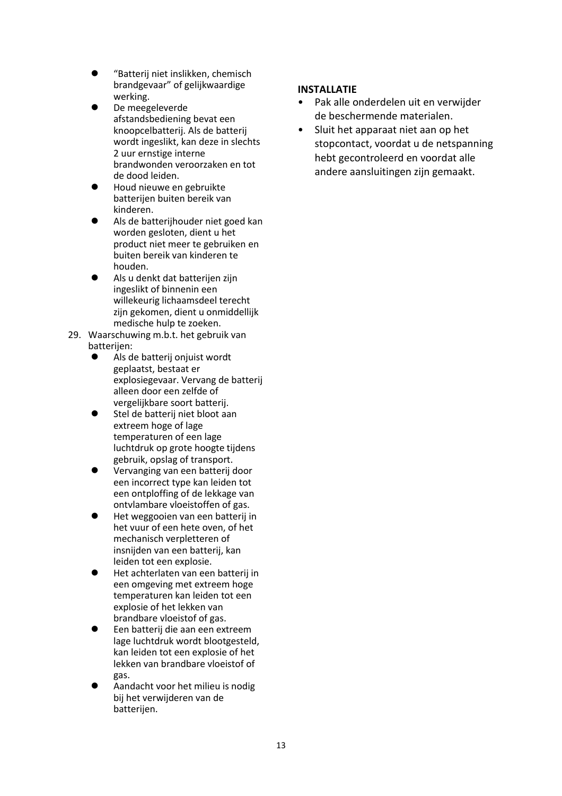- ⚫ "Batterij niet inslikken, chemisch brandgevaar" of gelijkwaardige werking.
- ⚫ De meegeleverde afstandsbediening bevat een knoopcelbatterij. Als de batterij wordt ingeslikt, kan deze in slechts 2 uur ernstige interne brandwonden veroorzaken en tot de dood leiden.
- ⚫ Houd nieuwe en gebruikte batterijen buiten bereik van kinderen.
- ⚫ Als de batterijhouder niet goed kan worden gesloten, dient u het product niet meer te gebruiken en buiten bereik van kinderen te houden.
- ⚫ Als u denkt dat batterijen zijn ingeslikt of binnenin een willekeurig lichaamsdeel terecht zijn gekomen, dient u onmiddellijk medische hulp te zoeken.
- 29. Waarschuwing m.b.t. het gebruik van batterijen:
	- ⚫ Als de batterij onjuist wordt geplaatst, bestaat er explosiegevaar. Vervang de batterij alleen door een zelfde of vergelijkbare soort batterij.
	- ⚫ Stel de batterij niet bloot aan extreem hoge of lage temperaturen of een lage luchtdruk op grote hoogte tijdens gebruik, opslag of transport.
	- ⚫ Vervanging van een batterij door een incorrect type kan leiden tot een ontploffing of de lekkage van ontvlambare vloeistoffen of gas.
	- ⚫ Het weggooien van een batterij in het vuur of een hete oven, of het mechanisch verpletteren of insnijden van een batterij, kan leiden tot een explosie.
	- ⚫ Het achterlaten van een batterij in een omgeving met extreem hoge temperaturen kan leiden tot een explosie of het lekken van brandbare vloeistof of gas.
	- ⚫ Een batterij die aan een extreem lage luchtdruk wordt blootgesteld, kan leiden tot een explosie of het lekken van brandbare vloeistof of gas.
	- ⚫ Aandacht voor het milieu is nodig bij het verwijderen van de batterijen.

## **INSTALLATIE**

- Pak alle onderdelen uit en verwijder de beschermende materialen.
- Sluit het apparaat niet aan op het stopcontact, voordat u de netspanning hebt gecontroleerd en voordat alle andere aansluitingen zijn gemaakt.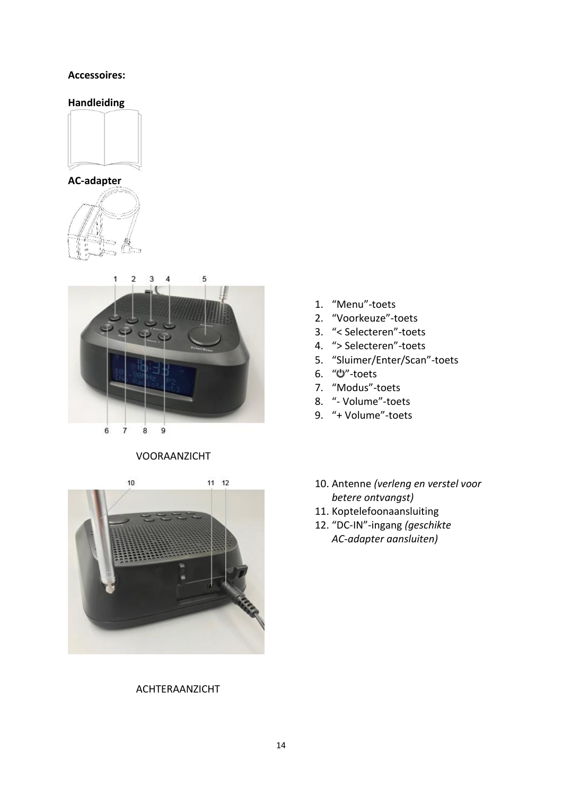#### **Accessoires:**

## **Handleiding**









#### VOORAANZICHT

 $11 \t12$  $10$ 

#### ACHTERAANZICHT

- 1. "Menu"-toets
- 2. "Voorkeuze"-toets
- 3. "< Selecteren"-toets
- 4. "> Selecteren"-toets
- 5. "Sluimer/Enter/Scan"-toets
- 6. "U"-toets
- 7. "Modus"-toets
- 8. "- Volume"-toets
- 9. "+ Volume"-toets
- 10. Antenne *(verleng en verstel voor betere ontvangst)*
- 11. Koptelefoonaansluiting
- 12. "DC-IN"-ingang *(geschikte AC-adapter aansluiten)*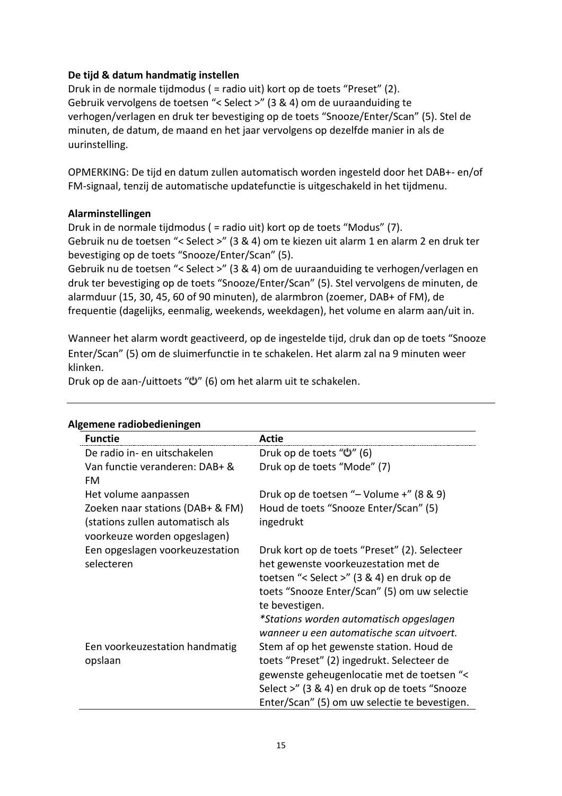## **De tijd & datum handmatig instellen**

Druk in de normale tijdmodus ( = radio uit) kort op de toets "Preset" (2). Gebruik vervolgens de toetsen "< Select >" (3 & 4) om de uuraanduiding te verhogen/verlagen en druk ter bevestiging op de toets "Snooze/Enter/Scan" (5). Stel de minuten, de datum, de maand en het jaar vervolgens op dezelfde manier in als de uurinstelling.

OPMERKING: De tijd en datum zullen automatisch worden ingesteld door het DAB+- en/of FM-signaal, tenzij de automatische updatefunctie is uitgeschakeld in het tijdmenu.

## **Alarminstellingen**

Druk in de normale tijdmodus ( = radio uit) kort op de toets "Modus" (7). Gebruik nu de toetsen "< Select >" (3 & 4) om te kiezen uit alarm 1 en alarm 2 en druk ter bevestiging op de toets "Snooze/Enter/Scan" (5).

Gebruik nu de toetsen "< Select >" (3 & 4) om de uuraanduiding te verhogen/verlagen en druk ter bevestiging op de toets "Snooze/Enter/Scan" (5). Stel vervolgens de minuten, de alarmduur (15, 30, 45, 60 of 90 minuten), de alarmbron (zoemer, DAB+ of FM), de frequentie (dagelijks, eenmalig, weekends, weekdagen), het volume en alarm aan/uit in.

Wanneer het alarm wordt geactiveerd, op de ingestelde tijd, druk dan op de toets "Snooze Enter/Scan" (5) om de sluimerfunctie in te schakelen. Het alarm zal na 9 minuten weer klinken.

Druk op de aan-/uittoets " " (6) om het alarm uit te schakelen.

| <b>Functie</b>                                                                                       | <b>Actie</b>                                                                                                                                                                                                                           |
|------------------------------------------------------------------------------------------------------|----------------------------------------------------------------------------------------------------------------------------------------------------------------------------------------------------------------------------------------|
| De radio in- en uitschakelen                                                                         | Druk op de toets "U" (6)                                                                                                                                                                                                               |
| Van functie veranderen: DAB+ &<br>FM                                                                 | Druk op de toets "Mode" (7)                                                                                                                                                                                                            |
| Het volume aanpassen                                                                                 | Druk op de toetsen "- Volume +" (8 & 9)                                                                                                                                                                                                |
| Zoeken naar stations (DAB+ & FM)<br>(stations zullen automatisch als<br>voorkeuze worden opgeslagen) | Houd de toets "Snooze Enter/Scan" (5)<br>ingedrukt                                                                                                                                                                                     |
| Een opgeslagen voorkeuzestation<br>selecteren                                                        | Druk kort op de toets "Preset" (2). Selecteer<br>het gewenste voorkeuzestation met de<br>toetsen "< Select >" (3 & 4) en druk op de<br>toets "Snooze Enter/Scan" (5) om uw selectie<br>te bevestigen.                                  |
|                                                                                                      | *Stations worden automatisch opgeslagen                                                                                                                                                                                                |
|                                                                                                      | wanneer y een automatische scan uitvoert.                                                                                                                                                                                              |
| Een voorkeuzestation handmatig<br>opslaan                                                            | Stem af op het gewenste station. Houd de<br>toets "Preset" (2) ingedrukt. Selecteer de<br>gewenste geheugenlocatie met de toetsen "<<br>Select >" (3 & 4) en druk op de toets "Snooze<br>Enter/Scan" (5) om uw selectie te bevestigen. |

## **Algemene radiobedieningen**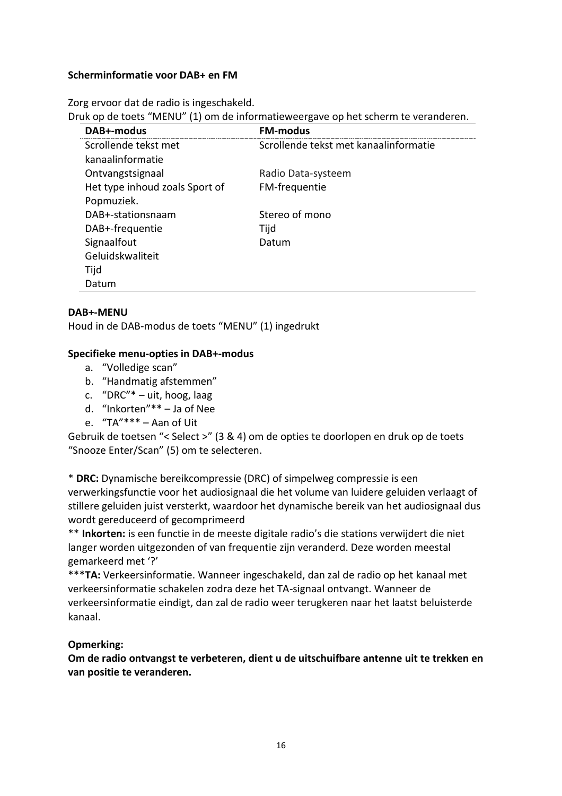### **Scherminformatie voor DAB+ en FM**

Zorg ervoor dat de radio is ingeschakeld.

Druk op de toets "MENU" (1) om de informatieweergave op het scherm te veranderen.

| DAB+-modus                     | <b>FM-modus</b>                       |
|--------------------------------|---------------------------------------|
| Scrollende tekst met           | Scrollende tekst met kanaalinformatie |
| kanaalinformatie               |                                       |
| Ontvangstsignaal               | Radio Data-systeem                    |
| Het type inhoud zoals Sport of | FM-frequentie                         |
| Popmuziek.                     |                                       |
| DAB+-stationsnaam              | Stereo of mono                        |
| DAB+-frequentie                | Tijd                                  |
| Signaalfout                    | Datum                                 |
| Geluidskwaliteit               |                                       |
| Tijd                           |                                       |
| Datum                          |                                       |

## **DAB+-MENU**

Houd in de DAB-modus de toets "MENU" (1) ingedrukt

#### **Specifieke menu-opties in DAB+-modus**

- a. "Volledige scan"
- b. "Handmatig afstemmen"
- c. "DRC"\* uit, hoog, laag
- d. "Inkorten"\*\* Ja of Nee
- e. "TA"\*\*\* Aan of Uit

Gebruik de toetsen "< Select >" (3 & 4) om de opties te doorlopen en druk op de toets "Snooze Enter/Scan" (5) om te selecteren.

\* **DRC:** Dynamische bereikcompressie (DRC) of simpelweg compressie is een verwerkingsfunctie voor het audiosignaal die het volume van luidere geluiden verlaagt of stillere geluiden juist versterkt, waardoor het dynamische bereik van het audiosignaal dus wordt gereduceerd of gecomprimeerd

\*\* **Inkorten:** is een functie in de meeste digitale radio's die stations verwijdert die niet langer worden uitgezonden of van frequentie zijn veranderd. Deze worden meestal gemarkeerd met '?'

\*\*\***TA:** Verkeersinformatie. Wanneer ingeschakeld, dan zal de radio op het kanaal met verkeersinformatie schakelen zodra deze het TA-signaal ontvangt. Wanneer de verkeersinformatie eindigt, dan zal de radio weer terugkeren naar het laatst beluisterde kanaal.

## **Opmerking:**

**Om de radio ontvangst te verbeteren, dient u de uitschuifbare antenne uit te trekken en van positie te veranderen.**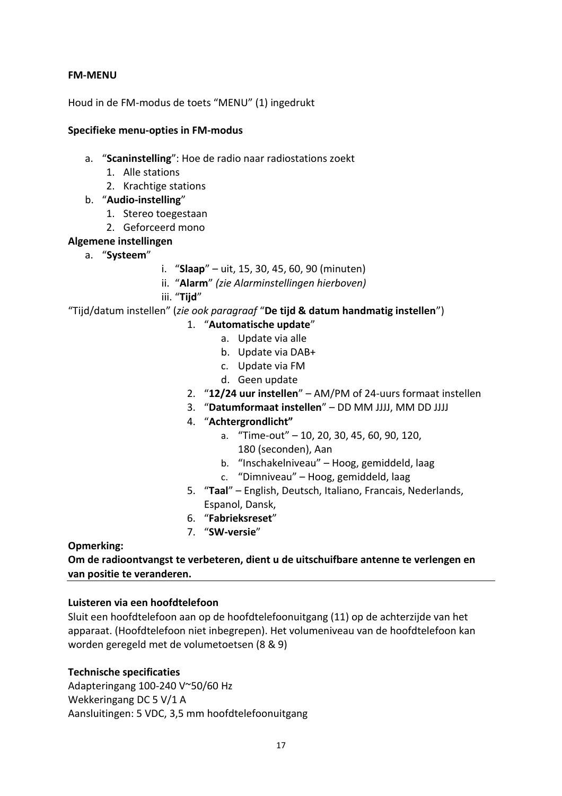## **FM-MENU**

Houd in de FM-modus de toets "MENU" (1) ingedrukt

## **Specifieke menu-opties in FM-modus**

- a. "**Scaninstelling**": Hoe de radio naar radiostations zoekt
	- 1. Alle stations
	- 2. Krachtige stations
- b. "**Audio-instelling**"
	- 1. Stereo toegestaan
	- 2. Geforceerd mono

## **Algemene instellingen**

- a. "**Systeem**"
- i. "**Slaap**" uit, 15, 30, 45, 60, 90 (minuten)
- ii. "**Alarm**" *(zie Alarminstellingen hierboven)*
- iii. "**Tijd**"

"Tijd/datum instellen" (*zie ook paragraaf* "**De tijd & datum handmatig instellen**")

- 1. "**Automatische update**"
	- a. Update via alle
	- b. Update via DAB+
	- c. Update via FM
	- d. Geen update
- 2. "**12/24 uur instellen**" AM/PM of 24-uurs formaat instellen
- 3. "**Datumformaat instellen**" DD MM JJJJ, MM DD JJJJ
- 4. "**Achtergrondlicht"**
	- a. "Time-out" 10, 20, 30, 45, 60, 90, 120, 180 (seconden), Aan
	- b. "Inschakelniveau" Hoog, gemiddeld, laag
	- c. "Dimniveau" Hoog, gemiddeld, laag
- 5. "**Taal**" English, Deutsch, Italiano, Francais, Nederlands, Espanol, Dansk,
- 6. "**Fabrieksreset**"
- 7. "**SW-versie**"

#### **Opmerking:**

**Om de radioontvangst te verbeteren, dient u de uitschuifbare antenne te verlengen en van positie te veranderen.**

#### **Luisteren via een hoofdtelefoon**

Sluit een hoofdtelefoon aan op de hoofdtelefoonuitgang (11) op de achterzijde van het apparaat. (Hoofdtelefoon niet inbegrepen). Het volumeniveau van de hoofdtelefoon kan worden geregeld met de volumetoetsen (8 & 9)

## **Technische specificaties**

Adapteringang 100-240 V~50/60 Hz Wekkeringang DC 5 V/1 A Aansluitingen: 5 VDC, 3,5 mm hoofdtelefoonuitgang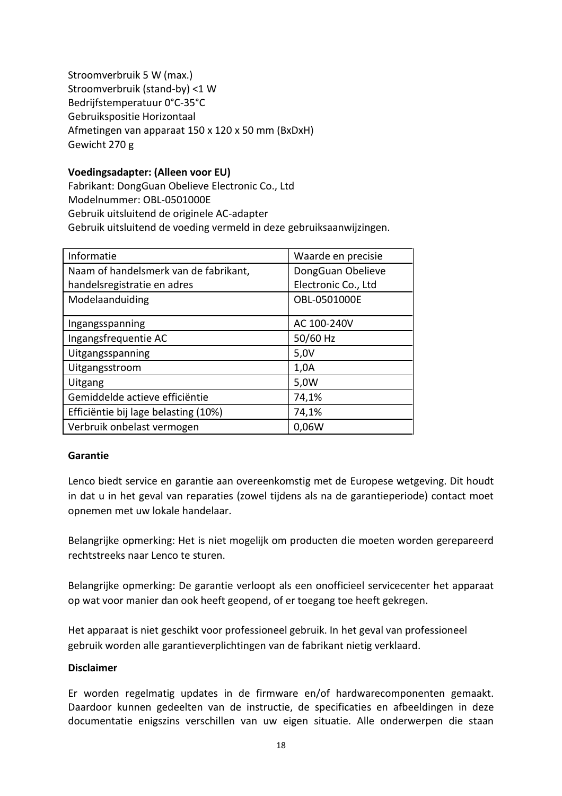Stroomverbruik 5 W (max.) Stroomverbruik (stand-by) <1 W Bedrijfstemperatuur 0°C-35°C Gebruikspositie Horizontaal Afmetingen van apparaat 150 x 120 x 50 mm (BxDxH) Gewicht 270 g

## **Voedingsadapter: (Alleen voor EU)**

Fabrikant: DongGuan Obelieve Electronic Co., Ltd Modelnummer: OBL-0501000E Gebruik uitsluitend de originele AC-adapter Gebruik uitsluitend de voeding vermeld in deze gebruiksaanwijzingen.

| Informatie                            | Waarde en precisie  |
|---------------------------------------|---------------------|
| Naam of handelsmerk van de fabrikant, | DongGuan Obelieve   |
| handelsregistratie en adres           | Electronic Co., Ltd |
| Modelaanduiding                       | OBL-0501000E        |
| Ingangsspanning                       | AC 100-240V         |
| Ingangsfrequentie AC                  | 50/60 Hz            |
| Uitgangsspanning                      | 5,0V                |
| Uitgangsstroom                        | 1,0A                |
| Uitgang                               | 5,0W                |
| Gemiddelde actieve efficiëntie        | 74,1%               |
| Efficiëntie bij lage belasting (10%)  | 74,1%               |
| Verbruik onbelast vermogen            | 0,06W               |

#### **Garantie**

Lenco biedt service en garantie aan overeenkomstig met de Europese wetgeving. Dit houdt in dat u in het geval van reparaties (zowel tijdens als na de garantieperiode) contact moet opnemen met uw lokale handelaar.

Belangrijke opmerking: Het is niet mogelijk om producten die moeten worden gerepareerd rechtstreeks naar Lenco te sturen.

Belangrijke opmerking: De garantie verloopt als een onofficieel servicecenter het apparaat op wat voor manier dan ook heeft geopend, of er toegang toe heeft gekregen.

Het apparaat is niet geschikt voor professioneel gebruik. In het geval van professioneel gebruik worden alle garantieverplichtingen van de fabrikant nietig verklaard.

#### **Disclaimer**

Er worden regelmatig updates in de firmware en/of hardwarecomponenten gemaakt. Daardoor kunnen gedeelten van de instructie, de specificaties en afbeeldingen in deze documentatie enigszins verschillen van uw eigen situatie. Alle onderwerpen die staan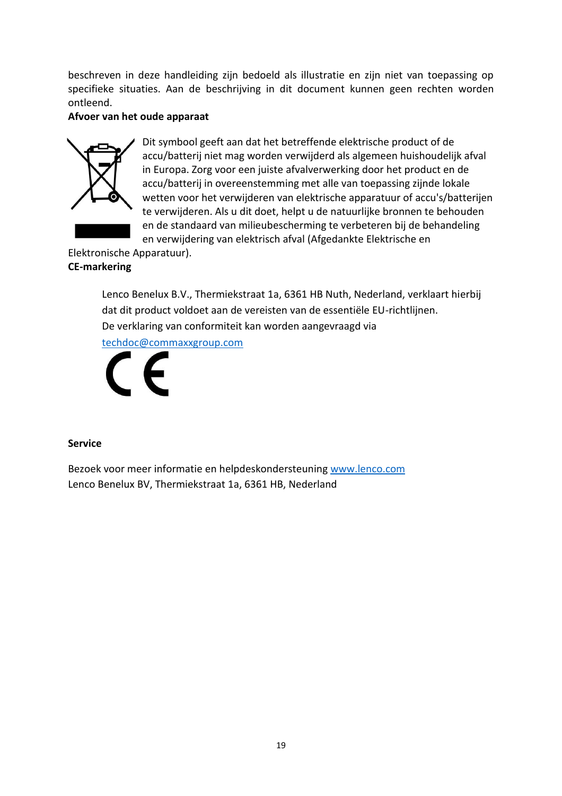beschreven in deze handleiding zijn bedoeld als illustratie en zijn niet van toepassing op specifieke situaties. Aan de beschrijving in dit document kunnen geen rechten worden ontleend.

## **Afvoer van het oude apparaat**



Dit symbool geeft aan dat het betreffende elektrische product of de accu/batterij niet mag worden verwijderd als algemeen huishoudelijk afval in Europa. Zorg voor een juiste afvalverwerking door het product en de accu/batterij in overeenstemming met alle van toepassing zijnde lokale wetten voor het verwijderen van elektrische apparatuur of accu's/batterijen te verwijderen. Als u dit doet, helpt u de natuurlijke bronnen te behouden en de standaard van milieubescherming te verbeteren bij de behandeling en verwijdering van elektrisch afval (Afgedankte Elektrische en

Elektronische Apparatuur).

## **CE-markering**

Lenco Benelux B.V., Thermiekstraat 1a, 6361 HB Nuth, Nederland, verklaart hierbij dat dit product voldoet aan de vereisten van de essentiële EU-richtlijnen. De verklaring van conformiteit kan worden aangevraagd via

[techdoc@commaxxgroup.com](mailto:techdoc@commaxxgroup.com)



#### **Service**

Bezoek voor meer informatie en helpdeskondersteunin[g www.lenco.com](http://www.lenco.com/) Lenco Benelux BV, Thermiekstraat 1a, 6361 HB, Nederland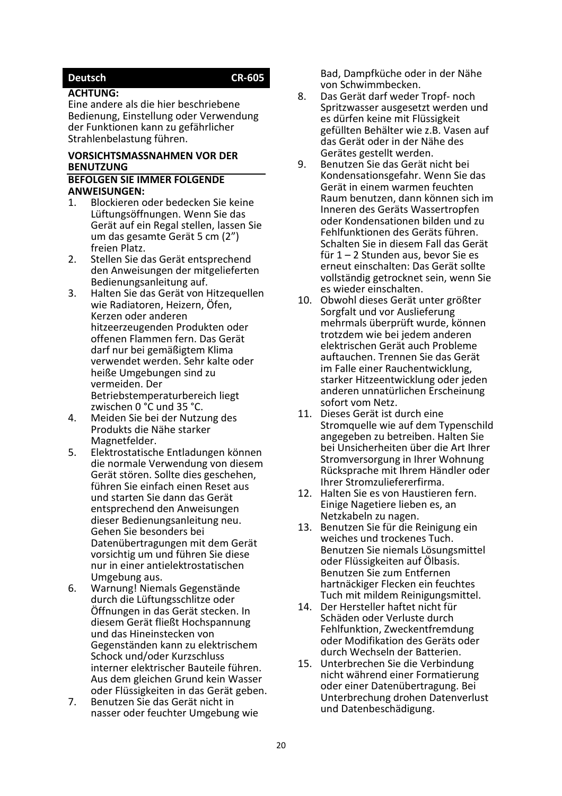# <span id="page-19-0"></span>**Deutsch CR-605**

#### **ACHTUNG:**

Eine andere als die hier beschriebene Bedienung, Einstellung oder Verwendung der Funktionen kann zu gefährlicher Strahlenbelastung führen.

# **VORSICHTSMASSNAHMEN VOR DER BENUTZUNG**

# **BEFOLGEN SIE IMMER FOLGENDE ANWEISUNGEN:**<br>1 **Blockieren o**

- 1. Blockieren oder bedecken Sie keine Lüftungsöffnungen. Wenn Sie das Gerät auf ein Regal stellen, lassen Sie um das gesamte Gerät 5 cm (2") freien Platz.
- 2. Stellen Sie das Gerät entsprechend den Anweisungen der mitgelieferten Bedienungsanleitung auf.
- 3. Halten Sie das Gerät von Hitzequellen wie Radiatoren, Heizern, Öfen, Kerzen oder anderen hitzeerzeugenden Produkten oder offenen Flammen fern. Das Gerät darf nur bei gemäßigtem Klima verwendet werden. Sehr kalte oder heiße Umgebungen sind zu vermeiden. Der Betriebstemperaturbereich liegt zwischen 0 °C und 35 °C.
- 4. Meiden Sie bei der Nutzung des Produkts die Nähe starker Magnetfelder.
- 5. Elektrostatische Entladungen können die normale Verwendung von diesem Gerät stören. Sollte dies geschehen, führen Sie einfach einen Reset aus und starten Sie dann das Gerät entsprechend den Anweisungen dieser Bedienungsanleitung neu. Gehen Sie besonders bei Datenübertragungen mit dem Gerät vorsichtig um und führen Sie diese nur in einer antielektrostatischen Umgebung aus.
- 6. Warnung! Niemals Gegenstände durch die Lüftungsschlitze oder Öffnungen in das Gerät stecken. In diesem Gerät fließt Hochspannung und das Hineinstecken von Gegenständen kann zu elektrischem Schock und/oder Kurzschluss interner elektrischer Bauteile führen. Aus dem gleichen Grund kein Wasser oder Flüssigkeiten in das Gerät geben.
- 7. Benutzen Sie das Gerät nicht in nasser oder feuchter Umgebung wie

Bad, Dampfküche oder in der Nähe von Schwimmbecken.

- 8. Das Gerät darf weder Tropf- noch Spritzwasser ausgesetzt werden und es dürfen keine mit Flüssigkeit gefüllten Behälter wie z.B. Vasen auf das Gerät oder in der Nähe des Gerätes gestellt werden.
- 9. Benutzen Sie das Gerät nicht bei Kondensationsgefahr. Wenn Sie das Gerät in einem warmen feuchten Raum benutzen, dann können sich im Inneren des Geräts Wassertropfen oder Kondensationen bilden und zu Fehlfunktionen des Geräts führen. Schalten Sie in diesem Fall das Gerät für 1 – 2 Stunden aus, bevor Sie es erneut einschalten: Das Gerät sollte vollständig getrocknet sein, wenn Sie es wieder einschalten.
- 10. Obwohl dieses Gerät unter größter Sorgfalt und vor Auslieferung mehrmals überprüft wurde, können trotzdem wie bei jedem anderen elektrischen Gerät auch Probleme auftauchen. Trennen Sie das Gerät im Falle einer Rauchentwicklung, starker Hitzeentwicklung oder jeden anderen unnatürlichen Erscheinung sofort vom Netz.
- 11. Dieses Gerät ist durch eine Stromquelle wie auf dem Typenschild angegeben zu betreiben. Halten Sie bei Unsicherheiten über die Art Ihrer Stromversorgung in Ihrer Wohnung Rücksprache mit Ihrem Händler oder Ihrer Stromzuliefererfirma.
- 12. Halten Sie es von Haustieren fern. Einige Nagetiere lieben es, an Netzkabeln zu nagen.
- 13. Benutzen Sie für die Reinigung ein weiches und trockenes Tuch. Benutzen Sie niemals Lösungsmittel oder Flüssigkeiten auf Ölbasis. Benutzen Sie zum Entfernen hartnäckiger Flecken ein feuchtes Tuch mit mildem Reinigungsmittel.
- 14. Der Hersteller haftet nicht für Schäden oder Verluste durch Fehlfunktion, Zweckentfremdung oder Modifikation des Geräts oder durch Wechseln der Batterien.
- 15. Unterbrechen Sie die Verbindung nicht während einer Formatierung oder einer Datenübertragung. Bei Unterbrechung drohen Datenverlust und Datenbeschädigung.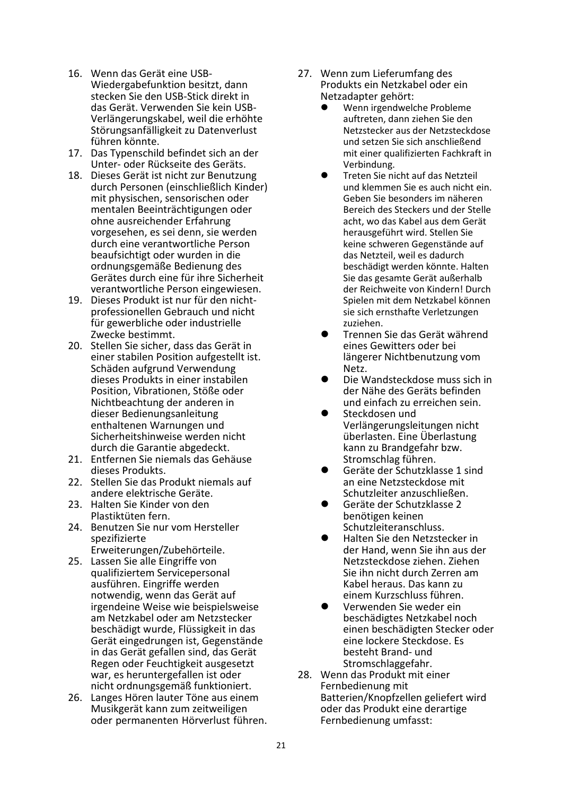- 16. Wenn das Gerät eine USB-Wiedergabefunktion besitzt, dann stecken Sie den USB-Stick direkt in das Gerät. Verwenden Sie kein USB-Verlängerungskabel, weil die erhöhte Störungsanfälligkeit zu Datenverlust führen könnte.
- 17. Das Typenschild befindet sich an der Unter- oder Rückseite des Geräts.
- 18. Dieses Gerät ist nicht zur Benutzung durch Personen (einschließlich Kinder) mit physischen, sensorischen oder mentalen Beeinträchtigungen oder ohne ausreichender Erfahrung vorgesehen, es sei denn, sie werden durch eine verantwortliche Person beaufsichtigt oder wurden in die ordnungsgemäße Bedienung des Gerätes durch eine für ihre Sicherheit verantwortliche Person eingewiesen.
- 19. Dieses Produkt ist nur für den nichtprofessionellen Gebrauch und nicht für gewerbliche oder industrielle Zwecke bestimmt.
- 20. Stellen Sie sicher, dass das Gerät in einer stabilen Position aufgestellt ist. Schäden aufgrund Verwendung dieses Produkts in einer instabilen Position, Vibrationen, Stöße oder Nichtbeachtung der anderen in dieser Bedienungsanleitung enthaltenen Warnungen und Sicherheitshinweise werden nicht durch die Garantie abgedeckt.
- 21. Entfernen Sie niemals das Gehäuse dieses Produkts.
- 22. Stellen Sie das Produkt niemals auf andere elektrische Geräte.
- 23. Halten Sie Kinder von den Plastiktüten fern.
- 24. Benutzen Sie nur vom Hersteller spezifizierte Erweiterungen/Zubehörteile.
- 25. Lassen Sie alle Eingriffe von qualifiziertem Servicepersonal ausführen. Eingriffe werden notwendig, wenn das Gerät auf irgendeine Weise wie beispielsweise am Netzkabel oder am Netzstecker beschädigt wurde, Flüssigkeit in das Gerät eingedrungen ist, Gegenstände in das Gerät gefallen sind, das Gerät Regen oder Feuchtigkeit ausgesetzt war, es heruntergefallen ist oder nicht ordnungsgemäß funktioniert.
- 26. Langes Hören lauter Töne aus einem Musikgerät kann zum zeitweiligen oder permanenten Hörverlust führen.
- 27. Wenn zum Lieferumfang des Produkts ein Netzkabel oder ein Netzadapter gehört:
	- ⚫ Wenn irgendwelche Probleme auftreten, dann ziehen Sie den Netzstecker aus der Netzsteckdose und setzen Sie sich anschließend mit einer qualifizierten Fachkraft in Verbindung.
	- Treten Sie nicht auf das Netzteil und klemmen Sie es auch nicht ein. Geben Sie besonders im näheren Bereich des Steckers und der Stelle acht, wo das Kabel aus dem Gerät herausgeführt wird. Stellen Sie keine schweren Gegenstände auf das Netzteil, weil es dadurch beschädigt werden könnte. Halten Sie das gesamte Gerät außerhalb der Reichweite von Kindern! Durch Spielen mit dem Netzkabel können sie sich ernsthafte Verletzungen zuziehen.
	- ⚫ Trennen Sie das Gerät während eines Gewitters oder bei längerer Nichtbenutzung vom Netz.
	- ⚫ Die Wandsteckdose muss sich in der Nähe des Geräts befinden und einfach zu erreichen sein.
	- ⚫ Steckdosen und Verlängerungsleitungen nicht überlasten. Eine Überlastung kann zu Brandgefahr bzw. Stromschlag führen.
	- ⚫ Geräte der Schutzklasse 1 sind an eine Netzsteckdose mit Schutzleiter anzuschließen.
	- ⚫ Geräte der Schutzklasse 2 benötigen keinen Schutzleiteranschluss.
	- ⚫ Halten Sie den Netzstecker in der Hand, wenn Sie ihn aus der Netzsteckdose ziehen. Ziehen Sie ihn nicht durch Zerren am Kabel heraus. Das kann zu einem Kurzschluss führen.
	- ⚫ Verwenden Sie weder ein beschädigtes Netzkabel noch einen beschädigten Stecker oder eine lockere Steckdose. Es besteht Brand- und Stromschlaggefahr.
- 28. Wenn das Produkt mit einer Fernbedienung mit Batterien/Knopfzellen geliefert wird oder das Produkt eine derartige Fernbedienung umfasst: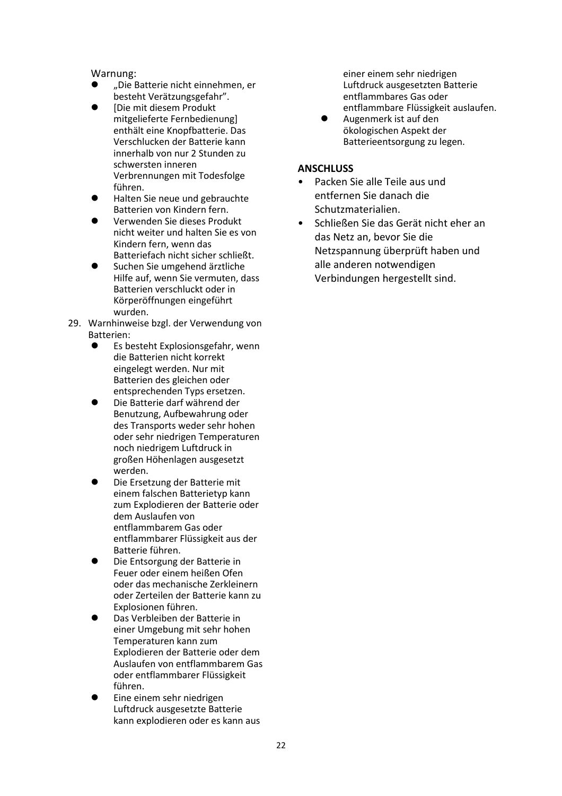#### Warnung:

- ⚫ "Die Batterie nicht einnehmen, er besteht Verätzungsgefahr".
- ⚫ [Die mit diesem Produkt mitgelieferte Fernbedienung] enthält eine Knopfbatterie. Das Verschlucken der Batterie kann innerhalb von nur 2 Stunden zu schwersten inneren Verbrennungen mit Todesfolge führen.
- ⚫ Halten Sie neue und gebrauchte Batterien von Kindern fern.
- ⚫ Verwenden Sie dieses Produkt nicht weiter und halten Sie es von Kindern fern, wenn das Batteriefach nicht sicher schließt.
- ⚫ Suchen Sie umgehend ärztliche Hilfe auf, wenn Sie vermuten, dass Batterien verschluckt oder in Körperöffnungen eingeführt wurden.
- 29. Warnhinweise bzgl. der Verwendung von Batterien:<br>• Fs h
	- ⚫ Es besteht Explosionsgefahr, wenn die Batterien nicht korrekt eingelegt werden. Nur mit Batterien des gleichen oder entsprechenden Typs ersetzen.
	- ⚫ Die Batterie darf während der Benutzung, Aufbewahrung oder des Transports weder sehr hohen oder sehr niedrigen Temperaturen noch niedrigem Luftdruck in großen Höhenlagen ausgesetzt werden.
	- ⚫ Die Ersetzung der Batterie mit einem falschen Batterietyp kann zum Explodieren der Batterie oder dem Auslaufen von entflammbarem Gas oder entflammbarer Flüssigkeit aus der Batterie führen.
	- ⚫ Die Entsorgung der Batterie in Feuer oder einem heißen Ofen oder das mechanische Zerkleinern oder Zerteilen der Batterie kann zu Explosionen führen.
	- ⚫ Das Verbleiben der Batterie in einer Umgebung mit sehr hohen Temperaturen kann zum Explodieren der Batterie oder dem Auslaufen von entflammbarem Gas oder entflammbarer Flüssigkeit führen.
	- ⚫ Eine einem sehr niedrigen Luftdruck ausgesetzte Batterie kann explodieren oder es kann aus

einer einem sehr niedrigen Luftdruck ausgesetzten Batterie entflammbares Gas oder entflammbare Flüssigkeit auslaufen.

⚫ Augenmerk ist auf den ökologischen Aspekt der Batterieentsorgung zu legen.

#### **ANSCHLUSS**

- Packen Sie alle Teile aus und entfernen Sie danach die Schutzmaterialien.
- Schließen Sie das Gerät nicht eher an das Netz an, bevor Sie die Netzspannung überprüft haben und alle anderen notwendigen Verbindungen hergestellt sind.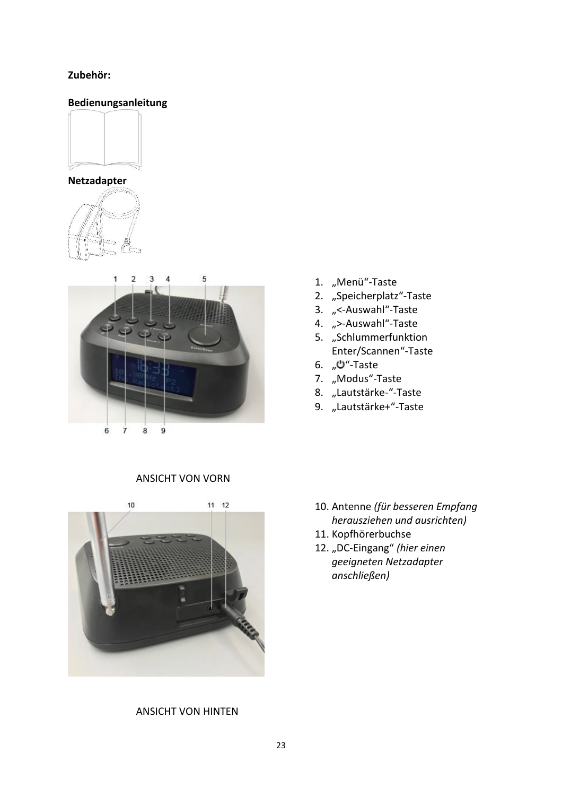#### **Zubehör:**

# **Bedienungsanleitung**



**Netzadapter**





- 1. "Menü"-Taste
- 2. "Speicherplatz"-Taste
- 3. "<-Auswahl"-Taste
- 4. ">-Auswahl"-Taste
- 5. "Schlummerfunktion Enter/Scannen"-Taste
- 6.  $\mathcal{W}$ "-Taste
- 7. "Modus"-Taste
- 8. "Lautstärke-"-Taste
- 9. "Lautstärke+"-Taste





#### ANSICHT VON HINTEN

- 10. Antenne *(für besseren Empfang herausziehen und ausrichten)*
- 11. Kopfhörerbuchse
- 12. "DC-Eingang" (hier einen *geeigneten Netzadapter anschließen)*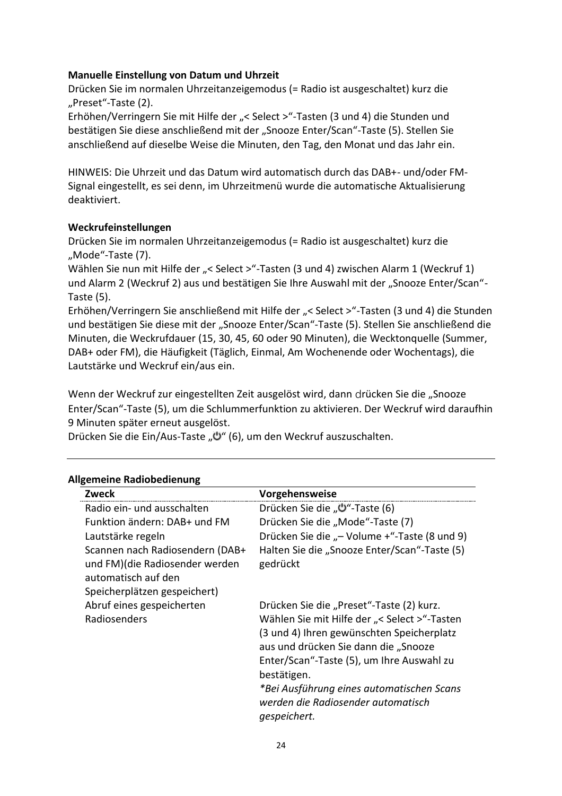## **Manuelle Einstellung von Datum und Uhrzeit**

Drücken Sie im normalen Uhrzeitanzeigemodus (= Radio ist ausgeschaltet) kurz die "Preset"-Taste (2).

Erhöhen/Verringern Sie mit Hilfe der "< Select > "-Tasten (3 und 4) die Stunden und bestätigen Sie diese anschließend mit der "Snooze Enter/Scan"-Taste (5). Stellen Sie anschließend auf dieselbe Weise die Minuten, den Tag, den Monat und das Jahr ein.

HINWEIS: Die Uhrzeit und das Datum wird automatisch durch das DAB+- und/oder FM-Signal eingestellt, es sei denn, im Uhrzeitmenü wurde die automatische Aktualisierung deaktiviert.

## **Weckrufeinstellungen**

Drücken Sie im normalen Uhrzeitanzeigemodus (= Radio ist ausgeschaltet) kurz die "Mode"-Taste (7).

Wählen Sie nun mit Hilfe der "< Select > "-Tasten (3 und 4) zwischen Alarm 1 (Weckruf 1) und Alarm 2 (Weckruf 2) aus und bestätigen Sie Ihre Auswahl mit der "Snooze Enter/Scan"-Taste (5).

Erhöhen/Verringern Sie anschließend mit Hilfe der "< Select >"-Tasten (3 und 4) die Stunden und bestätigen Sie diese mit der "Snooze Enter/Scan"-Taste (5). Stellen Sie anschließend die Minuten, die Weckrufdauer (15, 30, 45, 60 oder 90 Minuten), die Wecktonquelle (Summer, DAB+ oder FM), die Häufigkeit (Täglich, Einmal, Am Wochenende oder Wochentags), die Lautstärke und Weckruf ein/aus ein.

Wenn der Weckruf zur eingestellten Zeit ausgelöst wird, dann drücken Sie die "Snooze Enter/Scan"-Taste (5), um die Schlummerfunktion zu aktivieren. Der Weckruf wird daraufhin 9 Minuten später erneut ausgelöst.

Drücken Sie die Ein/Aus-Taste "Ü" (6), um den Weckruf auszuschalten.

| Zweck                                                                                    | <b>Vorgehensweise</b>                                                           |
|------------------------------------------------------------------------------------------|---------------------------------------------------------------------------------|
| Radio ein- und ausschalten                                                               | Drücken Sie die "Ü"-Taste (6)                                                   |
| Funktion ändern: DAB+ und FM                                                             | Drücken Sie die "Mode"-Taste (7)                                                |
| Lautstärke regeln                                                                        | Drücken Sie die "- Volume +"-Taste (8 und 9)                                    |
| Scannen nach Radiosendern (DAB+<br>und FM)(die Radiosender werden<br>automatisch auf den | Halten Sie die "Snooze Enter/Scan"-Taste (5)<br>gedrückt                        |
| Speicherplätzen gespeichert)                                                             |                                                                                 |
| Abruf eines gespeicherten                                                                | Drücken Sie die "Preset"-Taste (2) kurz.                                        |
| Radiosenders                                                                             | Wählen Sie mit Hilfe der "< Select >"-Tasten                                    |
|                                                                                          | (3 und 4) Ihren gewünschten Speicherplatz                                       |
|                                                                                          | aus und drücken Sie dann die "Snooze                                            |
|                                                                                          | Enter/Scan"-Taste (5), um Ihre Auswahl zu                                       |
|                                                                                          | bestätigen.                                                                     |
|                                                                                          | *Bei Ausführung eines automatischen Scans<br>werden die Radiosender automatisch |
|                                                                                          | gespeichert.                                                                    |

#### **Allgemeine Radiobedienung**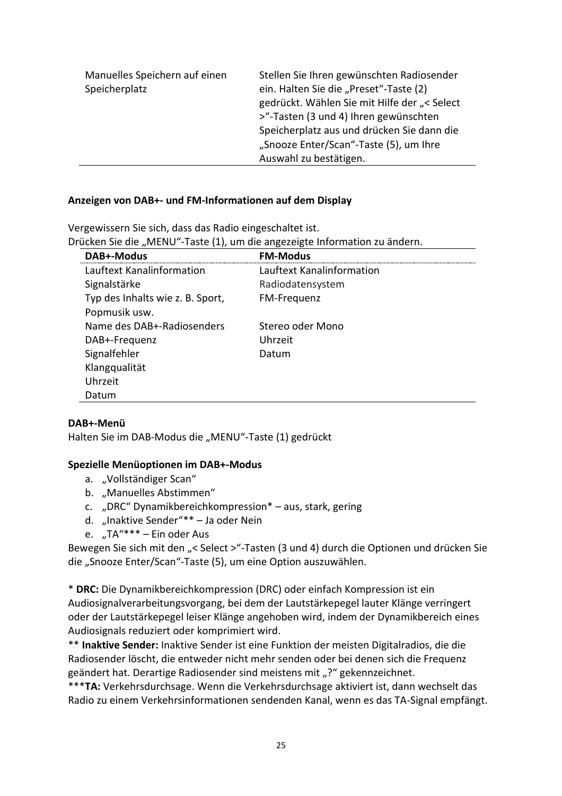| Manuelles Speichern auf einen<br>Speicherplatz | Stellen Sie Ihren gewünschten Radiosender<br>ein. Halten Sie die "Preset"-Taste (2)<br>gedrückt. Wählen Sie mit Hilfe der "< Select<br>>"-Tasten (3 und 4) Ihren gewünschten |
|------------------------------------------------|------------------------------------------------------------------------------------------------------------------------------------------------------------------------------|
|                                                | Speicherplatz aus und drücken Sie dann die                                                                                                                                   |
|                                                | "Snooze Enter/Scan"-Taste (5), um Ihre                                                                                                                                       |
|                                                | Auswahl zu bestätigen.                                                                                                                                                       |

#### **Anzeigen von DAB+- und FM-Informationen auf dem Display**

Vergewissern Sie sich, dass das Radio eingeschaltet ist. Drücken Sie die "MENU"-Taste (1), um die angezeigte Information zu ändern.

| DAB+-Modus                       | <b>FM-Modus</b>           |
|----------------------------------|---------------------------|
| Lauftext Kanalinformation        | Lauftext Kanalinformation |
| Signalstärke                     | Radiodatensystem          |
| Typ des Inhalts wie z. B. Sport, | FM-Frequenz               |
| Popmusik usw.                    |                           |
| Name des DAB+-Radiosenders       | Stereo oder Mono          |
| DAB+-Frequenz                    | Uhrzeit                   |
| Signalfehler                     | Datum                     |
| Klangqualität                    |                           |
| Uhrzeit                          |                           |
| Datum                            |                           |

#### **DAB+-Menü**

Halten Sie im DAB-Modus die "MENU"-Taste (1) gedrückt

#### **Spezielle Menüoptionen im DAB+-Modus**

- a. "Vollständiger Scan"
- b. "Manuelles Abstimmen"
- c. "DRC" Dynamikbereichkompression\* aus, stark, gering
- d. "Inaktive Sender"\*\* Ja oder Nein
- e. "TA"\*\*\* Ein oder Aus

Bewegen Sie sich mit den "< Select >"-Tasten (3 und 4) durch die Optionen und drücken Sie die "Snooze Enter/Scan"-Taste (5), um eine Option auszuwählen.

\* **DRC:** Die Dynamikbereichkompression (DRC) oder einfach Kompression ist ein Audiosignalverarbeitungsvorgang, bei dem der Lautstärkepegel lauter Klänge verringert oder der Lautstärkepegel leiser Klänge angehoben wird, indem der Dynamikbereich eines Audiosignals reduziert oder komprimiert wird.

\*\* **Inaktive Sender:** Inaktive Sender ist eine Funktion der meisten Digitalradios, die die Radiosender löscht, die entweder nicht mehr senden oder bei denen sich die Frequenz geändert hat. Derartige Radiosender sind meistens mit "?" gekennzeichnet.

\*\*\***TA:** Verkehrsdurchsage. Wenn die Verkehrsdurchsage aktiviert ist, dann wechselt das Radio zu einem Verkehrsinformationen sendenden Kanal, wenn es das TA-Signal empfängt.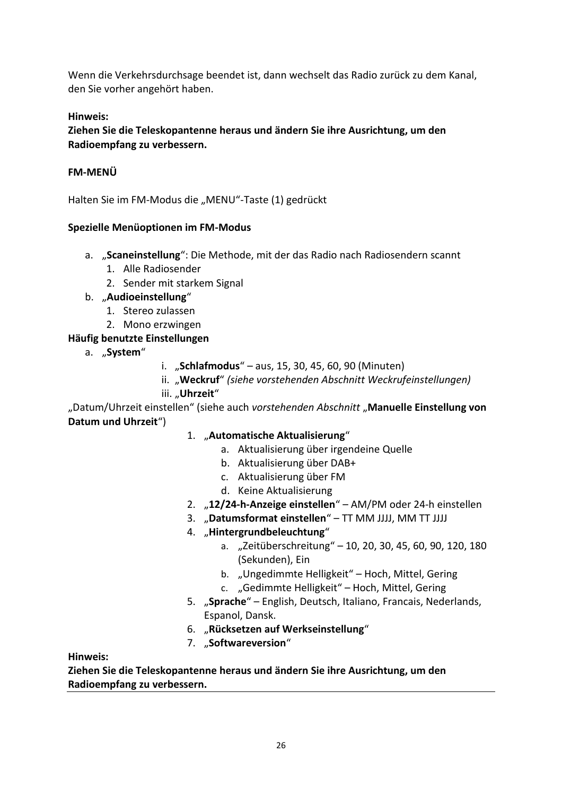Wenn die Verkehrsdurchsage beendet ist, dann wechselt das Radio zurück zu dem Kanal, den Sie vorher angehört haben.

## **Hinweis:**

**Ziehen Sie die Teleskopantenne heraus und ändern Sie ihre Ausrichtung, um den Radioempfang zu verbessern.**

## **FM-MENÜ**

Halten Sie im FM-Modus die "MENU"-Taste (1) gedrückt

## **Spezielle Menüoptionen im FM-Modus**

- a. "**Scaneinstellung**": Die Methode, mit der das Radio nach Radiosendern scannt
	- 1. Alle Radiosender
	- 2. Sender mit starkem Signal
- b. "**Audioeinstellung**"
	- 1. Stereo zulassen
	- 2. Mono erzwingen

## **Häufig benutzte Einstellungen**

- a. "System"
- i. "**Schlafmodus**" aus, 15, 30, 45, 60, 90 (Minuten)
- ii. "**Weckruf**" *(siehe vorstehenden Abschnitt Weckrufeinstellungen)*
- iii. "Uhrzeit"

"Datum/Uhrzeit einstellen" (siehe auch *vorstehenden Abschnitt* "**Manuelle Einstellung von Datum und Uhrzeit**")

## 1. "**Automatische Aktualisierung**"

- a. Aktualisierung über irgendeine Quelle
- b. Aktualisierung über DAB+
- c. Aktualisierung über FM
- d. Keine Aktualisierung
- 2. "**12/24-h-Anzeige einstellen**" AM/PM oder 24-h einstellen
- 3. "**Datumsformat einstellen**" TT MM JJJJ, MM TT JJJJ
- 4. "**Hintergrundbeleuchtung**"
	- a. "Zeitüberschreitung" 10, 20, 30, 45, 60, 90, 120, 180 (Sekunden), Ein
	- b. "Ungedimmte Helligkeit" Hoch, Mittel, Gering
	- c. "Gedimmte Helligkeit" Hoch, Mittel, Gering
- 5. "**Sprache**" English, Deutsch, Italiano, Francais, Nederlands, Espanol, Dansk.
- 6. "**Rücksetzen auf Werkseinstellung**"
- 7. "**Softwareversion**"

**Hinweis:**

**Ziehen Sie die Teleskopantenne heraus und ändern Sie ihre Ausrichtung, um den Radioempfang zu verbessern.**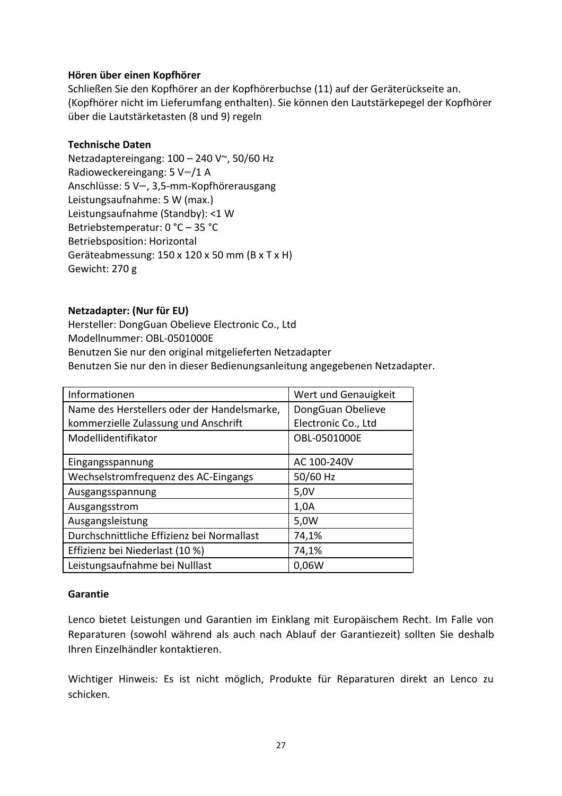## **Hören über einen Kopfhörer**

Schließen Sie den Kopfhörer an der Kopfhörerbuchse (11) auf der Geräterückseite an. (Kopfhörer nicht im Lieferumfang enthalten). Sie können den Lautstärkepegel der Kopfhörer über die Lautstärketasten (8 und 9) regeln

## **Technische Daten**

Netzadaptereingang: 100 – 240 V~, 50/60 Hz Radioweckereingang: 5 V⎓/1 A Anschlüsse: 5 V⎓, 3,5-mm-Kopfhörerausgang Leistungsaufnahme: 5 W (max.) Leistungsaufnahme (Standby): <1 W Betriebstemperatur: 0 °C – 35 °C Betriebsposition: Horizontal Geräteabmessung: 150 x 120 x 50 mm (B x T x H) Gewicht: 270 g

## **Netzadapter: (Nur für EU)**

Hersteller: DongGuan Obelieve Electronic Co., Ltd Modellnummer: OBL-0501000E Benutzen Sie nur den original mitgelieferten Netzadapter Benutzen Sie nur den in dieser Bedienungsanleitung angegebenen Netzadapter.

| Informationen                               | Wert und Genauigkeit |
|---------------------------------------------|----------------------|
| Name des Herstellers oder der Handelsmarke, | DongGuan Obelieve    |
| kommerzielle Zulassung und Anschrift        | Electronic Co., Ltd  |
| Modellidentifikator                         | OBL-0501000E         |
|                                             |                      |
| Eingangsspannung                            | AC 100-240V          |
| Wechselstromfrequenz des AC-Eingangs        | 50/60 Hz             |
| Ausgangsspannung                            | 5,0V                 |
| Ausgangsstrom                               | 1,0A                 |
| Ausgangsleistung                            | 5,0W                 |
| Durchschnittliche Effizienz bei Normallast  | 74,1%                |
| Effizienz bei Niederlast (10 %)             | 74,1%                |
| Leistungsaufnahme bei Nulllast              | 0,06W                |

#### **Garantie**

Lenco bietet Leistungen und Garantien im Einklang mit Europäischem Recht. Im Falle von Reparaturen (sowohl während als auch nach Ablauf der Garantiezeit) sollten Sie deshalb Ihren Einzelhändler kontaktieren.

Wichtiger Hinweis: Es ist nicht möglich, Produkte für Reparaturen direkt an Lenco zu schicken.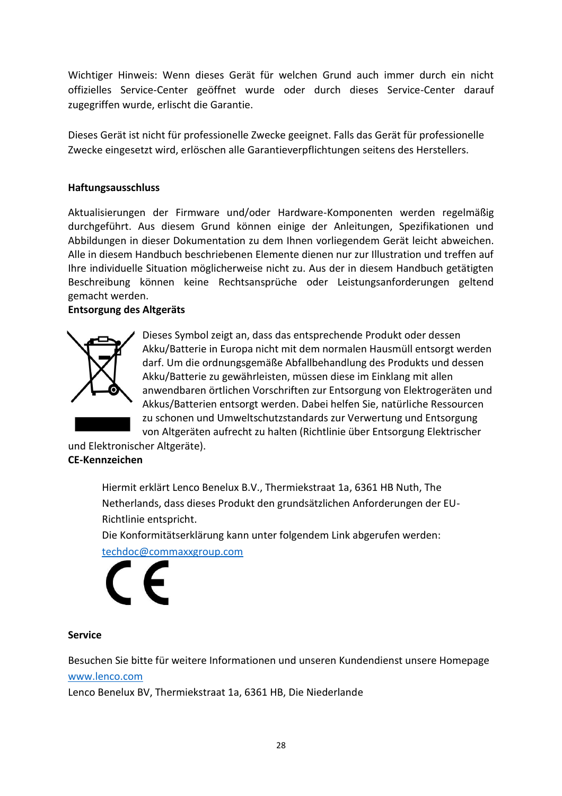Wichtiger Hinweis: Wenn dieses Gerät für welchen Grund auch immer durch ein nicht offizielles Service-Center geöffnet wurde oder durch dieses Service-Center darauf zugegriffen wurde, erlischt die Garantie.

Dieses Gerät ist nicht für professionelle Zwecke geeignet. Falls das Gerät für professionelle Zwecke eingesetzt wird, erlöschen alle Garantieverpflichtungen seitens des Herstellers.

## **Haftungsausschluss**

Aktualisierungen der Firmware und/oder Hardware-Komponenten werden regelmäßig durchgeführt. Aus diesem Grund können einige der Anleitungen, Spezifikationen und Abbildungen in dieser Dokumentation zu dem Ihnen vorliegendem Gerät leicht abweichen. Alle in diesem Handbuch beschriebenen Elemente dienen nur zur Illustration und treffen auf Ihre individuelle Situation möglicherweise nicht zu. Aus der in diesem Handbuch getätigten Beschreibung können keine Rechtsansprüche oder Leistungsanforderungen geltend gemacht werden.

## **Entsorgung des Altgeräts**



Dieses Symbol zeigt an, dass das entsprechende Produkt oder dessen Akku/Batterie in Europa nicht mit dem normalen Hausmüll entsorgt werden darf. Um die ordnungsgemäße Abfallbehandlung des Produkts und dessen Akku/Batterie zu gewährleisten, müssen diese im Einklang mit allen anwendbaren örtlichen Vorschriften zur Entsorgung von Elektrogeräten und Akkus/Batterien entsorgt werden. Dabei helfen Sie, natürliche Ressourcen zu schonen und Umweltschutzstandards zur Verwertung und Entsorgung von Altgeräten aufrecht zu halten (Richtlinie über Entsorgung Elektrischer

und Elektronischer Altgeräte).

# **CE-Kennzeichen**

Hiermit erklärt Lenco Benelux B.V., Thermiekstraat 1a, 6361 HB Nuth, The Netherlands, dass dieses Produkt den grundsätzlichen Anforderungen der EU-Richtlinie entspricht.

Die Konformitätserklärung kann unter folgendem Link abgerufen werden: [techdoc@commaxxgroup.com](mailto:techdoc@commaxxgroup.com)

#### **Service**

Besuchen Sie bitte für weitere Informationen und unseren Kundendienst unsere Homepage [www.lenco.com](http://www.lenco.com/)

Lenco Benelux BV, Thermiekstraat 1a, 6361 HB, Die Niederlande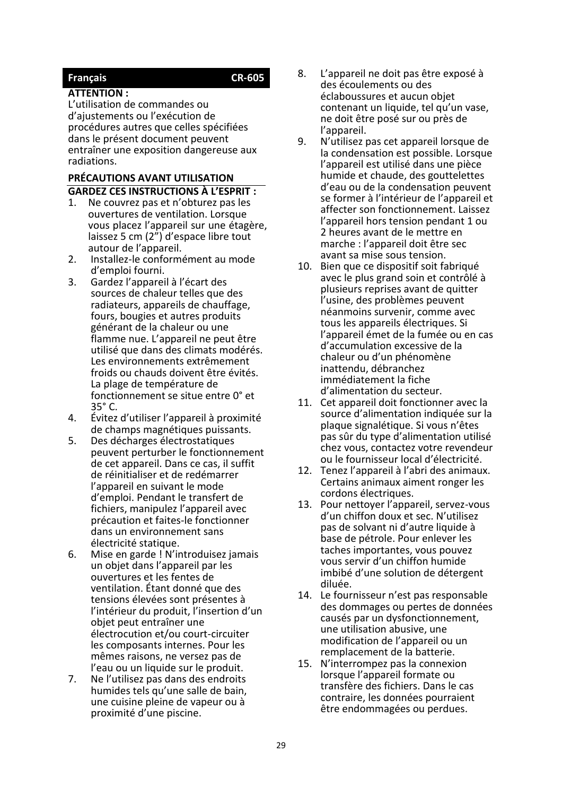# <span id="page-28-0"></span>**Français CR-605**

#### **ATTENTION :**

L'utilisation de commandes ou d'ajustements ou l'exécution de procédures autres que celles spécifiées dans le présent document peuvent entraîner une exposition dangereuse aux radiations.

# **PRÉCAUTIONS AVANT UTILISATION GARDEZ CES INSTRUCTIONS À L'ESPRIT :**

- Ne couvrez pas et n'obturez pas les ouvertures de ventilation. Lorsque vous placez l'appareil sur une étagère, laissez 5 cm (2") d'espace libre tout autour de l'appareil.
- 2. Installez-le conformément au mode d'emploi fourni.
- 3. Gardez l'appareil à l'écart des sources de chaleur telles que des radiateurs, appareils de chauffage, fours, bougies et autres produits générant de la chaleur ou une flamme nue. L'appareil ne peut être utilisé que dans des climats modérés. Les environnements extrêmement froids ou chauds doivent être évités. La plage de température de fonctionnement se situe entre 0° et 35° C.
- 4. Évitez d'utiliser l'appareil à proximité de champs magnétiques puissants.
- 5. Des décharges électrostatiques peuvent perturber le fonctionnement de cet appareil. Dans ce cas, il suffit de réinitialiser et de redémarrer l'appareil en suivant le mode d'emploi. Pendant le transfert de fichiers, manipulez l'appareil avec précaution et faites-le fonctionner dans un environnement sans électricité statique.
- 6. Mise en garde ! N'introduisez jamais un objet dans l'appareil par les ouvertures et les fentes de ventilation. Étant donné que des tensions élevées sont présentes à l'intérieur du produit, l'insertion d'un objet peut entraîner une électrocution et/ou court-circuiter les composants internes. Pour les mêmes raisons, ne versez pas de l'eau ou un liquide sur le produit.
- 7. Ne l'utilisez pas dans des endroits humides tels qu'une salle de bain, une cuisine pleine de vapeur ou à proximité d'une piscine.
- 8. L'appareil ne doit pas être exposé à des écoulements ou des éclaboussures et aucun objet contenant un liquide, tel qu'un vase, ne doit être posé sur ou près de l'appareil.
- 9. N'utilisez pas cet appareil lorsque de la condensation est possible. Lorsque l'appareil est utilisé dans une pièce humide et chaude, des gouttelettes d'eau ou de la condensation peuvent se former à l'intérieur de l'appareil et affecter son fonctionnement. Laissez l'appareil hors tension pendant 1 ou 2 heures avant de le mettre en marche : l'appareil doit être sec avant sa mise sous tension.
- 10. Bien que ce dispositif soit fabriqué avec le plus grand soin et contrôlé à plusieurs reprises avant de quitter l'usine, des problèmes peuvent néanmoins survenir, comme avec tous les appareils électriques. Si l'appareil émet de la fumée ou en cas d'accumulation excessive de la chaleur ou d'un phénomène inattendu, débranchez immédiatement la fiche d'alimentation du secteur.
- 11. Cet appareil doit fonctionner avec la source d'alimentation indiquée sur la plaque signalétique. Si vous n'êtes pas sûr du type d'alimentation utilisé chez vous, contactez votre revendeur ou le fournisseur local d'électricité.
- 12. Tenez l'appareil à l'abri des animaux. Certains animaux aiment ronger les cordons électriques.
- 13. Pour nettoyer l'appareil, servez-vous d'un chiffon doux et sec. N'utilisez pas de solvant ni d'autre liquide à base de pétrole. Pour enlever les taches importantes, vous pouvez vous servir d'un chiffon humide imbibé d'une solution de détergent diluée.
- 14. Le fournisseur n'est pas responsable des dommages ou pertes de données causés par un dysfonctionnement, une utilisation abusive, une modification de l'appareil ou un remplacement de la batterie.
- 15. N'interrompez pas la connexion lorsque l'appareil formate ou transfère des fichiers. Dans le cas contraire, les données pourraient être endommagées ou perdues.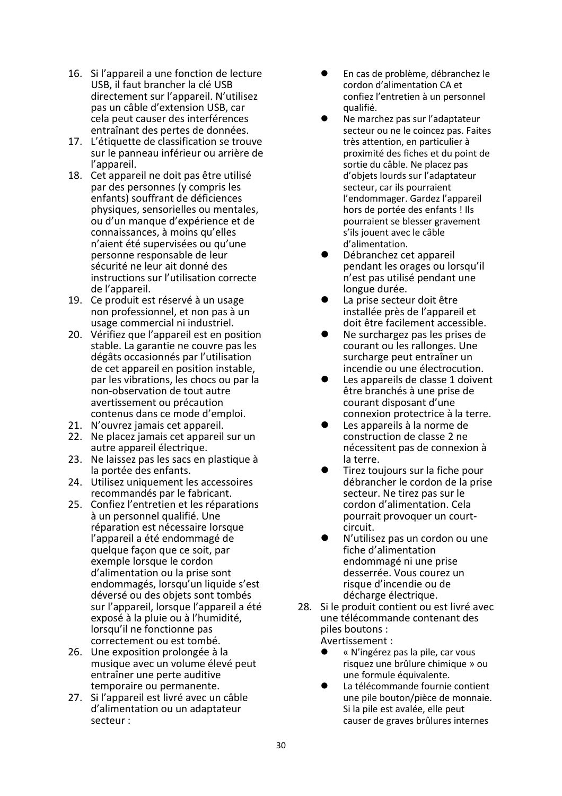- 16. Si l'appareil a une fonction de lecture USB, il faut brancher la clé USB directement sur l'appareil. N'utilisez pas un câble d'extension USB, car cela peut causer des interférences entraînant des pertes de données.
- 17. L'étiquette de classification se trouve sur le panneau inférieur ou arrière de l'appareil.
- 18. Cet appareil ne doit pas être utilisé par des personnes (y compris les enfants) souffrant de déficiences physiques, sensorielles ou mentales, ou d'un manque d'expérience et de connaissances, à moins qu'elles n'aient été supervisées ou qu'une personne responsable de leur sécurité ne leur ait donné des instructions sur l'utilisation correcte de l'appareil.
- 19. Ce produit est réservé à un usage non professionnel, et non pas à un usage commercial ni industriel.
- 20. Vérifiez que l'appareil est en position stable. La garantie ne couvre pas les dégâts occasionnés par l'utilisation de cet appareil en position instable, par les vibrations, les chocs ou par la non-observation de tout autre avertissement ou précaution contenus dans ce mode d'emploi.
- 21. N'ouvrez jamais cet appareil.
- 22. Ne placez jamais cet appareil sur un autre appareil électrique.
- 23. Ne laissez pas les sacs en plastique à la portée des enfants.
- 24. Utilisez uniquement les accessoires recommandés par le fabricant.
- 25. Confiez l'entretien et les réparations à un personnel qualifié. Une réparation est nécessaire lorsque l'appareil a été endommagé de quelque façon que ce soit, par exemple lorsque le cordon d'alimentation ou la prise sont endommagés, lorsqu'un liquide s'est déversé ou des objets sont tombés sur l'appareil, lorsque l'appareil a été exposé à la pluie ou à l'humidité, lorsqu'il ne fonctionne pas correctement ou est tombé.
- 26. Une exposition prolongée à la musique avec un volume élevé peut entraîner une perte auditive temporaire ou permanente.
- 27. Si l'appareil est livré avec un câble d'alimentation ou un adaptateur secteur :
- ⚫ En cas de problème, débranchez le cordon d'alimentation CA et confiez l'entretien à un personnel qualifié.
- ⚫ Ne marchez pas sur l'adaptateur secteur ou ne le coincez pas. Faites très attention, en particulier à proximité des fiches et du point de sortie du câble. Ne placez pas d'objets lourds sur l'adaptateur secteur, car ils pourraient l'endommager. Gardez l'appareil hors de portée des enfants ! Ils pourraient se blesser gravement s'ils jouent avec le câble d'alimentation.
- ⚫ Débranchez cet appareil pendant les orages ou lorsqu'il n'est pas utilisé pendant une longue durée.
- ⚫ La prise secteur doit être installée près de l'appareil et doit être facilement accessible.
- ⚫ Ne surchargez pas les prises de courant ou les rallonges. Une surcharge peut entraîner un incendie ou une électrocution.
- Les appareils de classe 1 doivent être branchés à une prise de courant disposant d'une connexion protectrice à la terre.
- ⚫ Les appareils à la norme de construction de classe 2 ne nécessitent pas de connexion à la terre.
- ⚫ Tirez toujours sur la fiche pour débrancher le cordon de la prise secteur. Ne tirez pas sur le cordon d'alimentation. Cela pourrait provoquer un courtcircuit.
- ⚫ N'utilisez pas un cordon ou une fiche d'alimentation endommagé ni une prise desserrée. Vous courez un risque d'incendie ou de décharge électrique.
- 28. Si le produit contient ou est livré avec une télécommande contenant des piles boutons : Avertissement :
	- ⚫ « N'ingérez pas la pile, car vous risquez une brûlure chimique » ou une formule équivalente.
	- La télécommande fournie contient une pile bouton/pièce de monnaie. Si la pile est avalée, elle peut causer de graves brûlures internes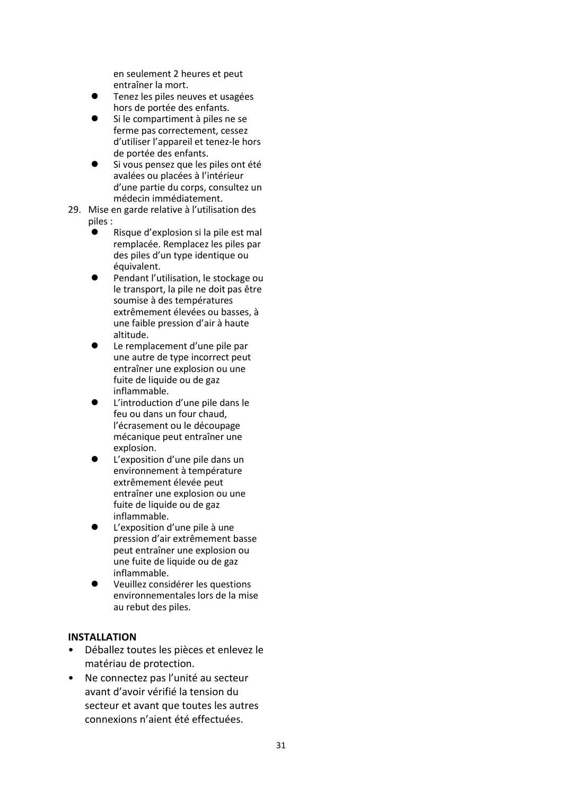en seulement 2 heures et peut entraîner la mort.

- ⚫ Tenez les piles neuves et usagées hors de portée des enfants.
- ⚫ Si le compartiment à piles ne se ferme pas correctement, cessez d'utiliser l'appareil et tenez-le hors de portée des enfants.
- ⚫ Si vous pensez que les piles ont été avalées ou placées à l'intérieur d'une partie du corps, consultez un médecin immédiatement.
- 29. Mise en garde relative à l'utilisation des piles :
	- ⚫ Risque d'explosion si la pile est mal remplacée. Remplacez les piles par des piles d'un type identique ou équivalent.
	- ⚫ Pendant l'utilisation, le stockage ou le transport, la pile ne doit pas être soumise à des températures extrêmement élevées ou basses, à une faible pression d'air à haute altitude.
	- ⚫ Le remplacement d'une pile par une autre de type incorrect peut entraîner une explosion ou une fuite de liquide ou de gaz inflammable.
	- ⚫ L'introduction d'une pile dans le feu ou dans un four chaud, l'écrasement ou le découpage mécanique peut entraîner une explosion.
	- ⚫ L'exposition d'une pile dans un environnement à température extrêmement élevée peut entraîner une explosion ou une fuite de liquide ou de gaz inflammable.
	- ⚫ L'exposition d'une pile à une pression d'air extrêmement basse peut entraîner une explosion ou une fuite de liquide ou de gaz inflammable.
	- ⚫ Veuillez considérer les questions environnementales lors de la mise au rebut des piles.

#### **INSTALLATION**

- Déballez toutes les pièces et enlevez le matériau de protection.
- Ne connectez pas l'unité au secteur avant d'avoir vérifié la tension du secteur et avant que toutes les autres connexions n'aient été effectuées.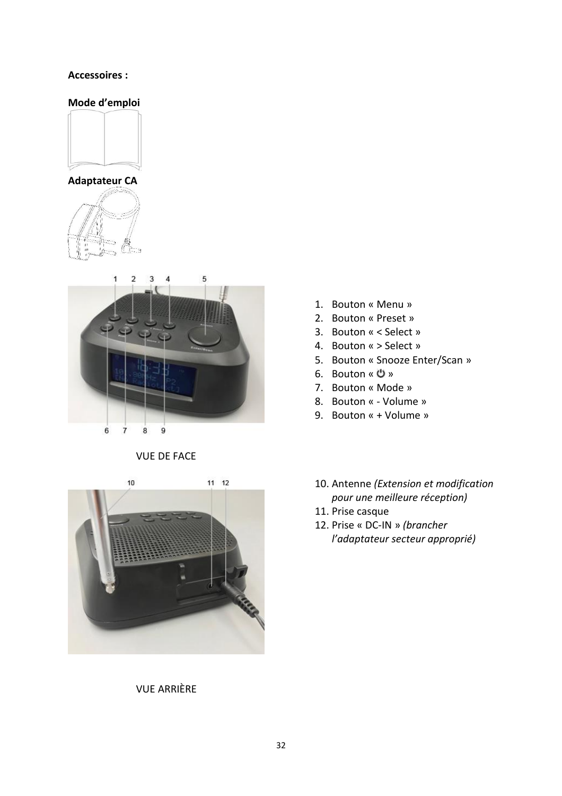#### **Accessoires :**

## **Mode d'emploi**









VUE DE FACE



VUE ARRIÈRE

- 1. Bouton « Menu »
- 2. Bouton « Preset »
- 3. Bouton « < Select »
- 4. Bouton « > Select »
- 5. Bouton « Snooze Enter/Scan »
- 6. Bouton « »
- 7. Bouton « Mode »
- 8. Bouton « Volume »
- 9. Bouton « + Volume »
- 10. Antenne *(Extension et modification pour une meilleure réception)*
- 11. Prise casque
- 12. Prise « DC-IN » *(brancher l'adaptateur secteur approprié)*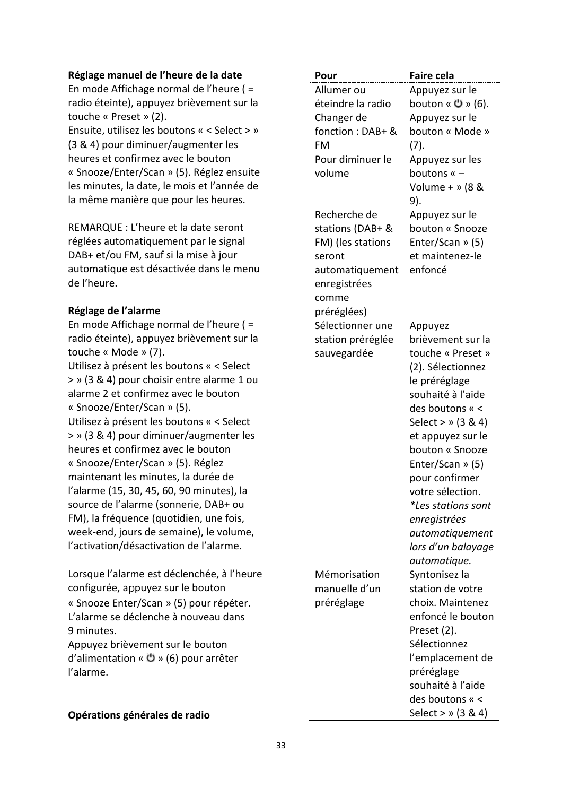#### **Réglage manuel de l'heure de la date**

En mode Affichage normal de l'heure ( = radio éteinte), appuyez brièvement sur la touche « Preset » (2).

Ensuite, utilisez les boutons « < Select > » (3 & 4) pour diminuer/augmenter les heures et confirmez avec le bouton « Snooze/Enter/Scan » (5). Réglez ensuite les minutes, la date, le mois et l'année de la même manière que pour les heures.

REMARQUE : L'heure et la date seront réglées automatiquement par le signal DAB+ et/ou FM, sauf si la mise à jour automatique est désactivée dans le menu de l'heure.

#### **Réglage de l'alarme**

En mode Affichage normal de l'heure ( = radio éteinte), appuyez brièvement sur la touche « Mode » (7).

Utilisez à présent les boutons « < Select > » (3 & 4) pour choisir entre alarme 1 ou alarme 2 et confirmez avec le bouton « Snooze/Enter/Scan » (5).

Utilisez à présent les boutons « < Select > » (3 & 4) pour diminuer/augmenter les heures et confirmez avec le bouton « Snooze/Enter/Scan » (5). Réglez maintenant les minutes, la durée de l'alarme (15, 30, 45, 60, 90 minutes), la source de l'alarme (sonnerie, DAB+ ou FM), la fréquence (quotidien, une fois, week-end, jours de semaine), le volume, l'activation/désactivation de l'alarme.

Lorsque l'alarme est déclenchée, à l'heure configurée, appuyez sur le bouton « Snooze Enter/Scan » (5) pour répéter. L'alarme se déclenche à nouveau dans 9 minutes.

Appuyez brièvement sur le bouton d'alimentation « » (6) pour arrêter l'alarme.

#### **Opérations générales de radio**

| Pour              | <b>Faire cela</b>         |
|-------------------|---------------------------|
| Allumer ou        | Appuyez sur le            |
| éteindre la radio | bouton « שׁ » (6).        |
| Changer de        | Appuyez sur le            |
| fonction : DAB+ & | bouton « Mode »           |
| FM                | (7).                      |
| Pour diminuer le  | Appuyez sur les           |
| volume            | boutons « -               |
|                   | Volume + » (8 &           |
|                   | 9).                       |
| Recherche de      | Appuyez sur le            |
| stations (DAB+ &  | bouton « Snooze           |
| FM) (les stations | Enter/Scan » (5)          |
| seront            | et maintenez-le           |
| automatiquement   | enfoncé                   |
| enregistrées      |                           |
| comme             |                           |
| préréglées)       |                           |
| Sélectionner une  | Appuyez                   |
| station préréglée | brièvement sur la         |
| sauvegardée       | touche « Preset »         |
|                   | (2). Sélectionnez         |
|                   | le préréglage             |
|                   | souhaité à l'aide         |
|                   | des boutons « <           |
|                   | Select > » (3 & 4)        |
|                   | et appuyez sur le         |
|                   | bouton « Snooze           |
|                   | Enter/Scan » (5)          |
|                   | pour confirmer            |
|                   | votre sélection.          |
|                   | <i>*Les stations sont</i> |
|                   | enregistrées              |
|                   | automatiquement           |
|                   | lors d'un balayage        |
|                   | automatique.              |
| Mémorisation      | Syntonisez la             |
| manuelle d'un     | station de votre          |
| préréglage        | choix. Maintenez          |
|                   | enfoncé le bouton         |
|                   | Preset (2).               |
|                   | Sélectionnez              |
|                   | l'emplacement de          |
|                   | préréglage                |
|                   | souhaité à l'aide         |
|                   | des boutons « <           |

Select > » (3 & 4)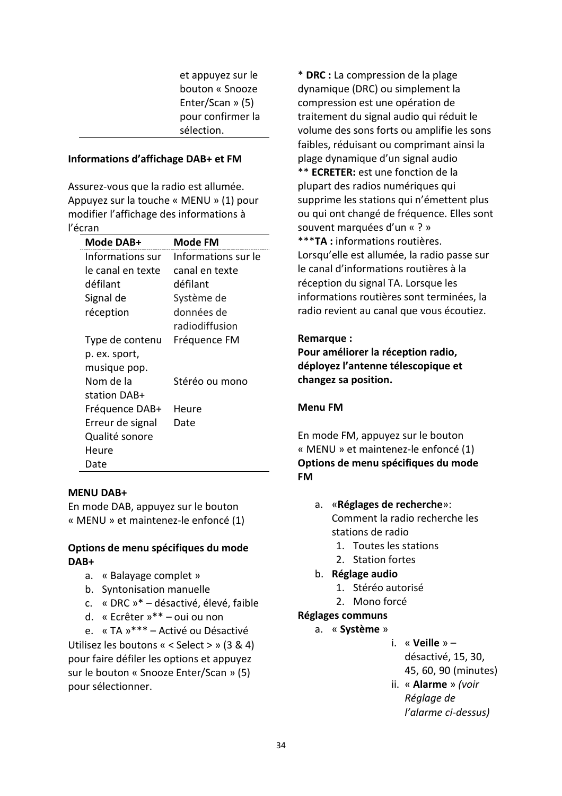et appuyez sur le bouton « Snooze Enter/Scan » (5) pour confirmer la sélection.

#### **Informations d'affichage DAB+ et FM**

Assurez-vous que la radio est allumée. Appuyez sur la touche « MENU » (1) pour modifier l'affichage des informations à l'écran

| Mode DAB+         | Mode FM             |
|-------------------|---------------------|
| Informations sur  | Informations sur le |
| le canal en texte | canal en texte      |
| défilant          | défilant            |
| Signal de         | Système de          |
| réception         | données de          |
|                   | radiodiffusion      |
| Type de contenu   | Fréquence FM        |
| p. ex. sport,     |                     |
| musique pop.      |                     |
| Nom de la         | Stéréo ou mono      |
| station DAB+      |                     |
| Fréquence DAB+    | Heure               |
| Erreur de signal  | Date                |
| Qualité sonore    |                     |
| Heure             |                     |
| Date              |                     |

#### **MENU DAB+**

En mode DAB, appuyez sur le bouton « MENU » et maintenez-le enfoncé (1)

## **Options de menu spécifiques du mode DAB+**

- a. « Balayage complet »
- b. Syntonisation manuelle
- c. « DRC »\* désactivé, élevé, faible
- d. « Ecrêter »\*\* oui ou non

e. « TA »\*\*\* – Activé ou Désactivé Utilisez les boutons « < Select > » (3 & 4) pour faire défiler les options et appuyez sur le bouton « Snooze Enter/Scan » (5) pour sélectionner.

\* **DRC :** La compression de la plage dynamique (DRC) ou simplement la compression est une opération de traitement du signal audio qui réduit le volume des sons forts ou amplifie les sons faibles, réduisant ou comprimant ainsi la plage dynamique d'un signal audio \*\* **ECRETER:** est une fonction de la plupart des radios numériques qui supprime les stations qui n'émettent plus ou qui ont changé de fréquence. Elles sont souvent marquées d'un « ? » \*\*\***TA :** informations routières. Lorsqu'elle est allumée, la radio passe sur le canal d'informations routières à la réception du signal TA. Lorsque les informations routières sont terminées, la radio revient au canal que vous écoutiez.

#### **Remarque :**

**Pour améliorer la réception radio, déployez l'antenne télescopique et changez sa position.**

#### **Menu FM**

En mode FM, appuyez sur le bouton « MENU » et maintenez-le enfoncé (1) **Options de menu spécifiques du mode FM**

- a. «**Réglages de recherche**»: Comment la radio recherche les stations de radio
	- 1. Toutes les stations
	- 2. Station fortes
- b. **Réglage audio**
	- 1. Stéréo autorisé
	- 2. Mono forcé

#### **Réglages communs**

- a. « **Système** »
	- i. « **Veille** » désactivé, 15, 30, 45, 60, 90 (minutes)
	- ii. « **Alarme** » *(voir Réglage de l'alarme ci-dessus)*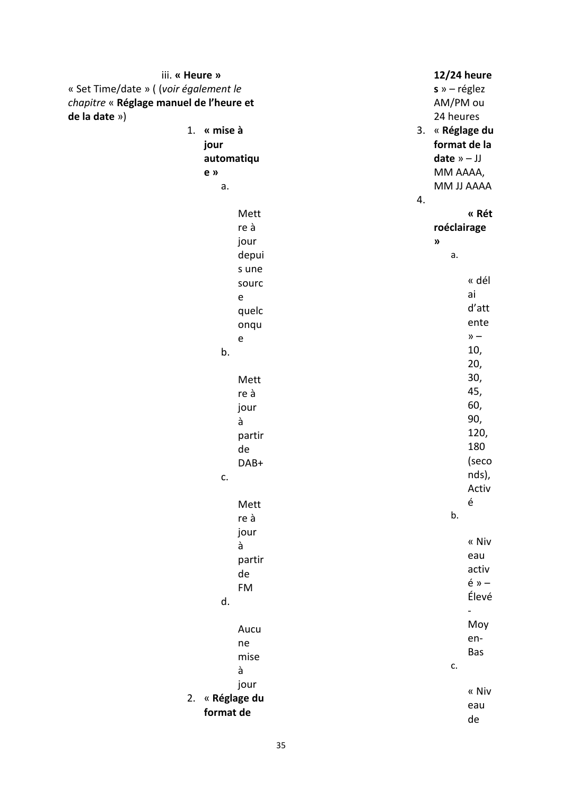| iii. « Heure »                          |           |    | 12/24 heure                |                |
|-----------------------------------------|-----------|----|----------------------------|----------------|
| « Set Time/date » ((voir également le   |           |    | $s \rightarrow -$ réglez   |                |
| chapitre « Réglage manuel de l'heure et |           |    | AM/PM ou                   |                |
| de la date »)                           |           |    | 24 heures                  |                |
| « mise à<br>1.                          |           |    | 3. « Réglage du            |                |
| jour                                    |           |    | format de la               |                |
| automatiqu                              |           |    | date $v - JJ$              |                |
|                                         |           |    |                            |                |
| e »                                     |           |    | MM AAAA,                   |                |
| а.                                      |           |    | MM JJ AAAA                 |                |
|                                         |           | 4. |                            |                |
|                                         | Mett      |    |                            | « Rét          |
|                                         | re à      |    | roéclairage                |                |
|                                         | jour      |    | $\boldsymbol{\mathcal{Y}}$ |                |
|                                         | depui     |    | а.                         |                |
|                                         | s une     |    |                            |                |
|                                         | sourc     |    |                            | « dél          |
|                                         |           |    |                            | ai             |
|                                         | ${\bf e}$ |    |                            | d'att          |
|                                         | quelc     |    |                            | ente           |
|                                         | onqu      |    |                            |                |
|                                         | ${\bf e}$ |    |                            | $\lambda$ -    |
| b.                                      |           |    |                            | 10,            |
|                                         |           |    |                            | 20,            |
|                                         | Mett      |    |                            | 30,            |
|                                         | re à      |    |                            | 45,            |
|                                         | jour      |    |                            | 60,            |
|                                         | à         |    |                            | 90,            |
|                                         | partir    |    |                            | 120,           |
|                                         | de        |    |                            | 180            |
|                                         |           |    |                            | (seco          |
|                                         | DAB+      |    |                            | nds),          |
| c.                                      |           |    |                            |                |
|                                         |           |    |                            | Activ          |
|                                         | Mett      |    |                            | é              |
|                                         | re à      |    | b.                         |                |
|                                         | jour      |    |                            |                |
|                                         | à         |    |                            | « Niv          |
|                                         | partir    |    |                            | eau            |
|                                         | de        |    |                            | activ          |
|                                         | FM        |    |                            | $é \times -$   |
| d.                                      |           |    |                            | Élevé          |
|                                         |           |    |                            | $\blacksquare$ |
|                                         |           |    |                            | Moy            |
|                                         | Aucu      |    |                            | en-            |
|                                         | ne        |    |                            | Bas            |
|                                         | mise      |    | c.                         |                |
|                                         | à         |    |                            |                |
|                                         | jour      |    |                            | « Niv          |
| 2. « Réglage du                         |           |    |                            |                |
| format de                               |           |    |                            | eau            |
|                                         |           |    |                            | de             |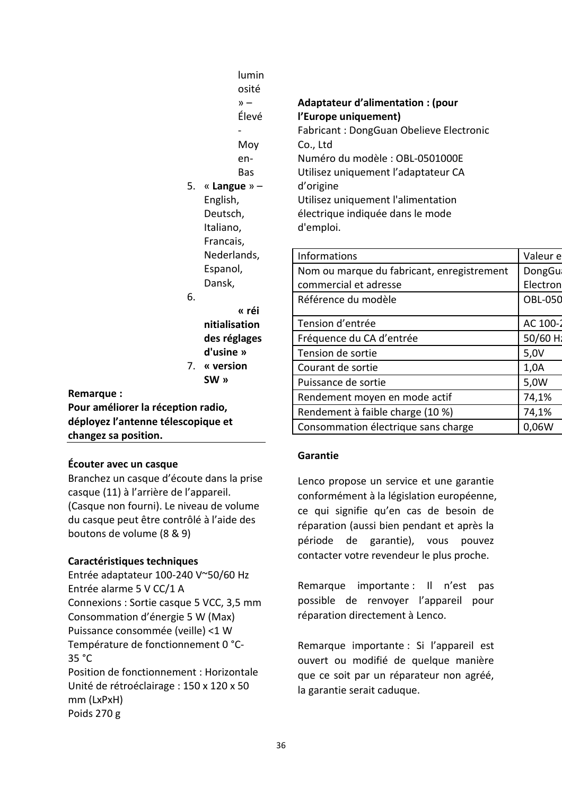|                                    | lumin<br>osité    |                                            |                |
|------------------------------------|-------------------|--------------------------------------------|----------------|
|                                    | $\lambda$ -       | Adaptateur d'alimentation : (pour          |                |
|                                    | Élevé             | l'Europe uniquement)                       |                |
|                                    |                   | Fabricant: DongGuan Obelieve Electronic    |                |
|                                    | Moy               | Co., Ltd                                   |                |
|                                    | en-               | Numéro du modèle : OBL-0501000E            |                |
|                                    | <b>Bas</b>        | Utilisez uniquement l'adaptateur CA        |                |
|                                    | 5. « Langue » $-$ | d'origine                                  |                |
|                                    | English,          | Utilisez uniquement l'alimentation         |                |
|                                    | Deutsch,          | électrique indiquée dans le mode           |                |
|                                    | Italiano,         | d'emploi.                                  |                |
|                                    | Francais,         |                                            |                |
|                                    | Nederlands,       | <b>Informations</b>                        | Valeur e       |
|                                    | Espanol,          | Nom ou marque du fabricant, enregistrement | <b>DongGu</b>  |
|                                    | Dansk,            | commercial et adresse                      | Electron       |
| 6.                                 |                   | Référence du modèle                        | <b>OBL-050</b> |
|                                    | « réi             |                                            |                |
|                                    | nitialisation     | Tension d'entrée                           | AC 100-2       |
|                                    | des réglages      | Fréquence du CA d'entrée                   | 50/60 Hz       |
|                                    | d'usine »         | Tension de sortie                          | 5,0V           |
|                                    | 7. « version      | Courant de sortie                          | 1,0A           |
|                                    | SW »              | Puissance de sortie                        | 5,0W           |
| Remarque:                          |                   | Rendement moyen en mode actif              | 74,1%          |
| Pour améliorer la réception radio, |                   | Rendement à faible charge (10 %)           | 74,1%          |
| déployez l'antenne télescopique et |                   | Consommation électrique sans charge        | 0,06W          |
| changez sa position.               |                   |                                            |                |

#### **Garantie**

Lenco propose un service et une garantie conformément à la législation européenne, ce qui signifie qu'en cas de besoin de réparation (aussi bien pendant et après la période de garantie), vous pouvez contacter votre revendeur le plus proche.

Remarque importante : Il n'est pas possible de renvoyer l'appareil pour réparation directement à Lenco.

Remarque importante : Si l'appareil est ouvert ou modifié de quelque manière que ce soit par un réparateur non agréé, la garantie serait caduque.

**Caractéristiques techniques** Entrée adaptateur 100-240 V~50/60 Hz Entrée alarme 5 V CC/1 A Connexions : Sortie casque 5 VCC, 3,5 mm

boutons de volume (8 & 9)

**Écouter avec un casque**

Consommation d'énergie 5 W (Max) Puissance consommée (veille) <1 W Température de fonctionnement 0 °C-35 °C

Branchez un casque d'écoute dans la prise

(Casque non fourni). Le niveau de volume du casque peut être contrôlé à l'aide des

casque (11) à l'arrière de l'appareil.

Position de fonctionnement : Horizontale Unité de rétroéclairage : 150 x 120 x 50 mm (LxPxH) Poids 270 g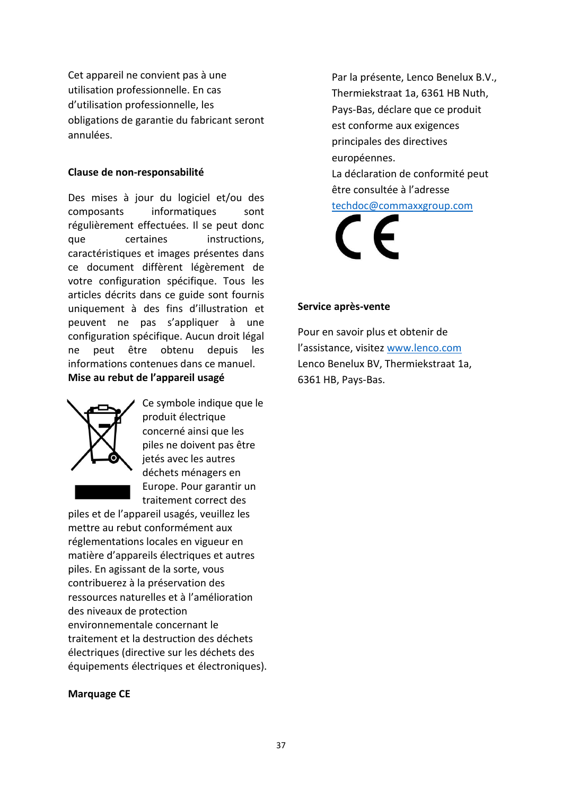Cet appareil ne convient pas à une utilisation professionnelle. En cas d'utilisation professionnelle, les obligations de garantie du fabricant seront annulées.

#### **Clause de non-responsabilité**

Des mises à jour du logiciel et/ou des composants informatiques sont régulièrement effectuées. Il se peut donc que certaines instructions, caractéristiques et images présentes dans ce document diffèrent légèrement de votre configuration spécifique. Tous les articles décrits dans ce guide sont fournis uniquement à des fins d'illustration et peuvent ne pas s'appliquer à une configuration spécifique. Aucun droit légal ne peut être obtenu depuis les informations contenues dans ce manuel. **Mise au rebut de l'appareil usagé** 



Ce symbole indique que le produit électrique concerné ainsi que les piles ne doivent pas être jetés avec les autres déchets ménagers en Europe. Pour garantir un traitement correct des

piles et de l'appareil usagés, veuillez les mettre au rebut conformément aux réglementations locales en vigueur en matière d'appareils électriques et autres piles. En agissant de la sorte, vous contribuerez à la préservation des ressources naturelles et à l'amélioration des niveaux de protection environnementale concernant le traitement et la destruction des déchets électriques (directive sur les déchets des équipements électriques et électroniques).

#### **Marquage CE**

Par la présente, Lenco Benelux B.V., Thermiekstraat 1a, 6361 HB Nuth, Pays-Bas, déclare que ce produit est conforme aux exigences principales des directives européennes. La déclaration de conformité peut être consultée à l'adresse

[techdoc@commaxxgroup.com](mailto:techdoc@commaxxgroup.com)



#### **Service après-vente**

Pour en savoir plus et obtenir de l'assistance, visitez [www.lenco.com](http://www.lenco.com/) Lenco Benelux BV, Thermiekstraat 1a, 6361 HB, Pays-Bas.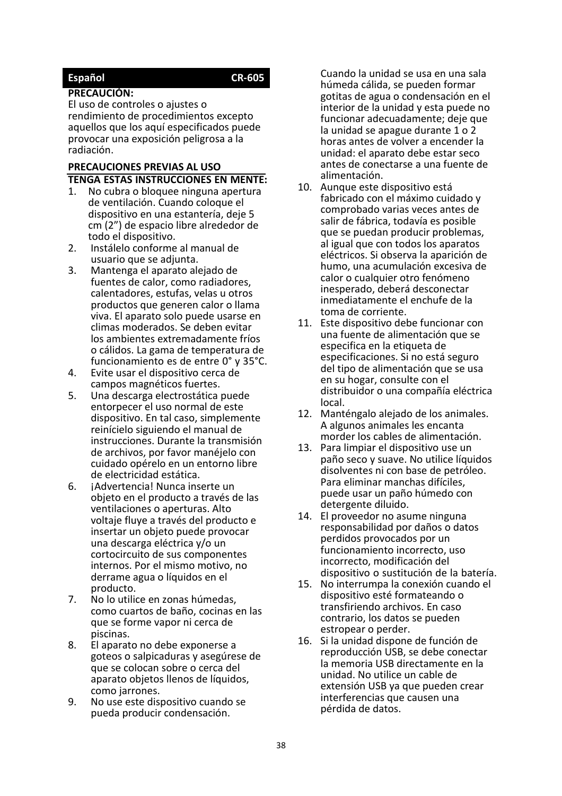## <span id="page-37-0"></span>**Español CR-605**

#### **PRECAUCIÓN:**

El uso de controles o ajustes o rendimiento de procedimientos excepto aquellos que los aquí especificados puede provocar una exposición peligrosa a la radiación.

# **PRECAUCIONES PREVIAS AL USO TENGA ESTAS INSTRUCCIONES EN MENTE:**<br>1. No cubra o bloquee ninguna apertura

- No cubra o bloquee ninguna apertura de ventilación. Cuando coloque el dispositivo en una estantería, deje 5 cm (2") de espacio libre alrededor de todo el dispositivo.
- 2. Instálelo conforme al manual de usuario que se adjunta.
- 3. Mantenga el aparato alejado de fuentes de calor, como radiadores, calentadores, estufas, velas u otros productos que generen calor o llama viva. El aparato solo puede usarse en climas moderados. Se deben evitar los ambientes extremadamente fríos o cálidos. La gama de temperatura de funcionamiento es de entre 0° y 35°C.
- 4. Evite usar el dispositivo cerca de campos magnéticos fuertes.
- 5. Una descarga electrostática puede entorpecer el uso normal de este dispositivo. En tal caso, simplemente reinícielo siguiendo el manual de instrucciones. Durante la transmisión de archivos, por favor manéjelo con cuidado opérelo en un entorno libre de electricidad estática.
- 6. **iAdvertencia! Nunca inserte un** objeto en el producto a través de las ventilaciones o aperturas. Alto voltaje fluye a través del producto e insertar un objeto puede provocar una descarga eléctrica y/o un cortocircuito de sus componentes internos. Por el mismo motivo, no derrame agua o líquidos en el producto.
- 7. No lo utilice en zonas húmedas, como cuartos de baño, cocinas en las que se forme vapor ni cerca de piscinas.
- 8. El aparato no debe exponerse a goteos o salpicaduras y asegúrese de que se colocan sobre o cerca del aparato objetos llenos de líquidos, como jarrones.
- 9. No use este dispositivo cuando se pueda producir condensación.

Cuando la unidad se usa en una sala húmeda cálida, se pueden formar gotitas de agua o condensación en el interior de la unidad y esta puede no funcionar adecuadamente; deje que la unidad se apague durante 1 o 2 horas antes de volver a encender la unidad: el aparato debe estar seco antes de conectarse a una fuente de alimentación.

- 10. Aunque este dispositivo está fabricado con el máximo cuidado y comprobado varias veces antes de salir de fábrica, todavía es posible que se puedan producir problemas, al igual que con todos los aparatos eléctricos. Si observa la aparición de humo, una acumulación excesiva de calor o cualquier otro fenómeno inesperado, deberá desconectar inmediatamente el enchufe de la toma de corriente.
- 11. Este dispositivo debe funcionar con una fuente de alimentación que se especifica en la etiqueta de especificaciones. Si no está seguro del tipo de alimentación que se usa en su hogar, consulte con el distribuidor o una compañía eléctrica local.
- 12. Manténgalo alejado de los animales. A algunos animales les encanta morder los cables de alimentación.
- 13. Para limpiar el dispositivo use un paño seco y suave. No utilice líquidos disolventes ni con base de petróleo. Para eliminar manchas difíciles, puede usar un paño húmedo con detergente diluido.
- 14. El proveedor no asume ninguna responsabilidad por daños o datos perdidos provocados por un funcionamiento incorrecto, uso incorrecto, modificación del dispositivo o sustitución de la batería.
- 15. No interrumpa la conexión cuando el dispositivo esté formateando o transfiriendo archivos. En caso contrario, los datos se pueden estropear o perder.
- 16. Si la unidad dispone de función de reproducción USB, se debe conectar la memoria USB directamente en la unidad. No utilice un cable de extensión USB ya que pueden crear interferencias que causen una pérdida de datos.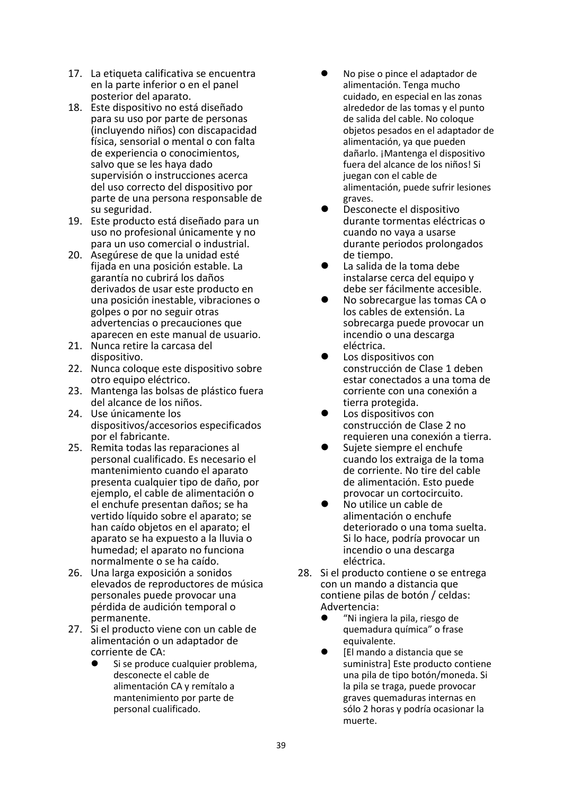- 17. La etiqueta calificativa se encuentra en la parte inferior o en el panel posterior del aparato.
- 18. Este dispositivo no está diseñado para su uso por parte de personas (incluyendo niños) con discapacidad física, sensorial o mental o con falta de experiencia o conocimientos, salvo que se les haya dado supervisión o instrucciones acerca del uso correcto del dispositivo por parte de una persona responsable de su seguridad.
- 19. Este producto está diseñado para un uso no profesional únicamente y no para un uso comercial o industrial.
- 20. Asegúrese de que la unidad esté fijada en una posición estable. La garantía no cubrirá los daños derivados de usar este producto en una posición inestable, vibraciones o golpes o por no seguir otras advertencias o precauciones que aparecen en este manual de usuario.
- 21. Nunca retire la carcasa del dispositivo.
- 22. Nunca coloque este dispositivo sobre otro equipo eléctrico.
- 23. Mantenga las bolsas de plástico fuera del alcance de los niños.
- 24. Use únicamente los dispositivos/accesorios especificados por el fabricante.
- 25. Remita todas las reparaciones al personal cualificado. Es necesario el mantenimiento cuando el aparato presenta cualquier tipo de daño, por ejemplo, el cable de alimentación o el enchufe presentan daños; se ha vertido líquido sobre el aparato; se han caído objetos en el aparato; el aparato se ha expuesto a la lluvia o humedad; el aparato no funciona normalmente o se ha caído.
- 26. Una larga exposición a sonidos elevados de reproductores de música personales puede provocar una pérdida de audición temporal o permanente.
- 27. Si el producto viene con un cable de alimentación o un adaptador de corriente de CA:
	- Si se produce cualquier problema, desconecte el cable de alimentación CA y remítalo a mantenimiento por parte de personal cualificado.
- ⚫ No pise o pince el adaptador de alimentación. Tenga mucho cuidado, en especial en las zonas alrededor de las tomas y el punto de salida del cable. No coloque objetos pesados en el adaptador de alimentación, ya que pueden dañarlo. ¡Mantenga el dispositivo fuera del alcance de los niños! Si juegan con el cable de alimentación, puede sufrir lesiones graves.
- ⚫ Desconecte el dispositivo durante tormentas eléctricas o cuando no vaya a usarse durante periodos prolongados de tiempo.
- La salida de la toma debe instalarse cerca del equipo y debe ser fácilmente accesible.
- ⚫ No sobrecargue las tomas CA o los cables de extensión. La sobrecarga puede provocar un incendio o una descarga eléctrica.
- Los dispositivos con construcción de Clase 1 deben estar conectados a una toma de corriente con una conexión a tierra protegida.
- ⚫ Los dispositivos con construcción de Clase 2 no requieren una conexión a tierra.
- ⚫ Sujete siempre el enchufe cuando los extraiga de la toma de corriente. No tire del cable de alimentación. Esto puede provocar un cortocircuito.
- ⚫ No utilice un cable de alimentación o enchufe deteriorado o una toma suelta. Si lo hace, podría provocar un incendio o una descarga eléctrica.
- 28. Si el producto contiene o se entrega con un mando a distancia que contiene pilas de botón / celdas: Advertencia:
	- ⚫ "Ni ingiera la pila, riesgo de quemadura química" o frase equivalente.
	- ⚫ [El mando a distancia que se suministra] Este producto contiene una pila de tipo botón/moneda. Si la pila se traga, puede provocar graves quemaduras internas en sólo 2 horas y podría ocasionar la muerte.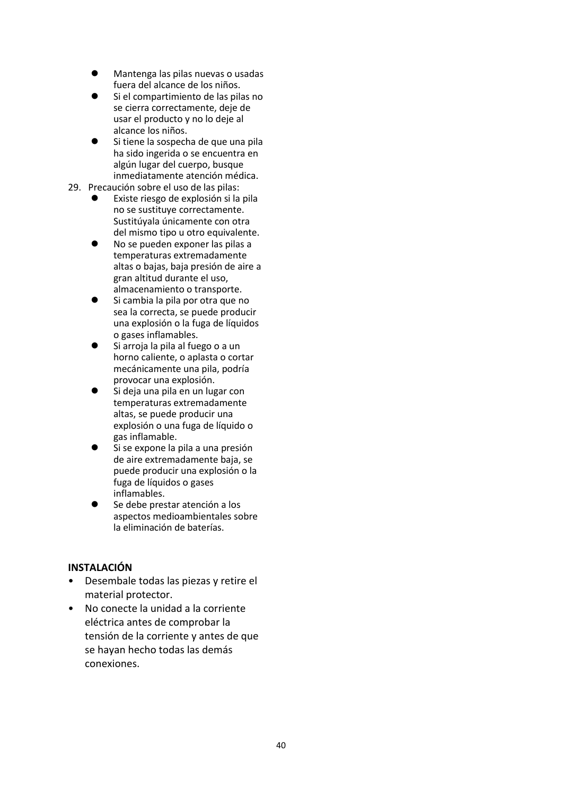- ⚫ Mantenga las pilas nuevas o usadas fuera del alcance de los niños.
- ⚫ Si el compartimiento de las pilas no se cierra correctamente, deje de usar el producto y no lo deje al alcance los niños.
- ⚫ Si tiene la sospecha de que una pila ha sido ingerida o se encuentra en algún lugar del cuerpo, busque inmediatamente atención médica.
- 29. Precaución sobre el uso de las pilas:
	- ⚫ Existe riesgo de explosión si la pila no se sustituye correctamente. Sustitúyala únicamente con otra del mismo tipo u otro equivalente.
	- ⚫ No se pueden exponer las pilas a temperaturas extremadamente altas o bajas, baja presión de aire a gran altitud durante el uso, almacenamiento o transporte.
	- Si cambia la pila por otra que no sea la correcta, se puede producir una explosión o la fuga de líquidos o gases inflamables.
	- Si arroja la pila al fuego o a un horno caliente, o aplasta o cortar mecánicamente una pila, podría provocar una explosión.
	- ⚫ Si deja una pila en un lugar con temperaturas extremadamente altas, se puede producir una explosión o una fuga de líquido o gas inflamable.
	- ⚫ Si se expone la pila a una presión de aire extremadamente baja, se puede producir una explosión o la fuga de líquidos o gases inflamables.
	- ⚫ Se debe prestar atención a los aspectos medioambientales sobre la eliminación de baterías.

## **INSTALACIÓN**

- Desembale todas las piezas y retire el material protector.
- No conecte la unidad a la corriente eléctrica antes de comprobar la tensión de la corriente y antes de que se hayan hecho todas las demás conexiones.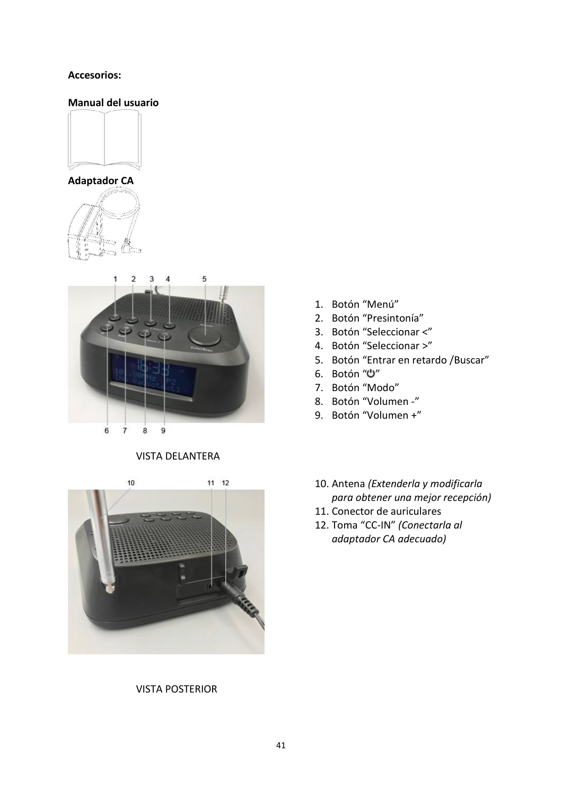## **Accesorios:**

## **Manual del usuario**









#### VISTA DELANTERA

 $10$  $11 12$ 

VISTA POSTERIOR

- 1. Botón "Menú"
- 2. Botón "Presintonía"
- 3. Botón "Seleccionar <"
- 4. Botón "Seleccionar >"
- 5. Botón "Entrar en retardo /Buscar"
- 6. Botón "U"
- 7. Botón "Modo"
- 8. Botón "Volumen -"
- 9. Botón "Volumen +"
- 10. Antena *(Extenderla y modificarla para obtener una mejor recepción)*
- 11. Conector de auriculares
- 12. Toma "CC-IN" *(Conectarla al adaptador CA adecuado)*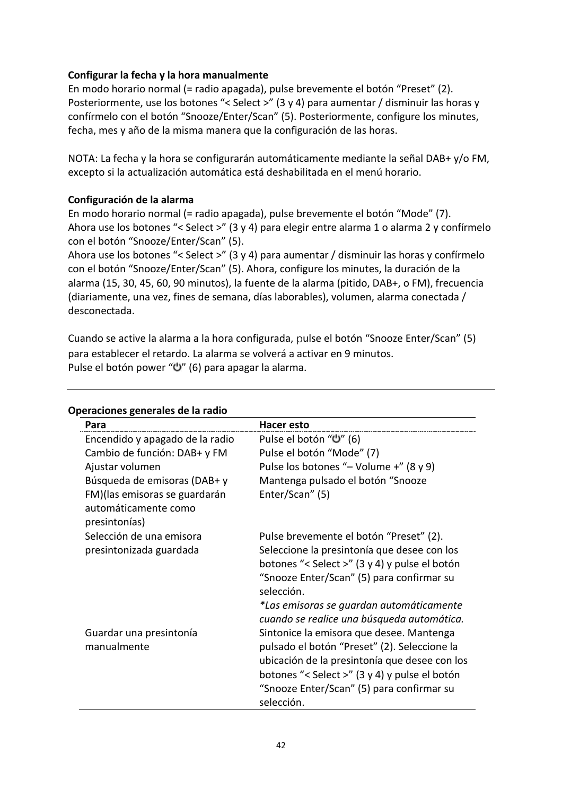## **Configurar la fecha y la hora manualmente**

En modo horario normal (= radio apagada), pulse brevemente el botón "Preset" (2). Posteriormente, use los botones "< Select >" (3 y 4) para aumentar / disminuir las horas y confírmelo con el botón "Snooze/Enter/Scan" (5). Posteriormente, configure los minutes, fecha, mes y año de la misma manera que la configuración de las horas.

NOTA: La fecha y la hora se configurarán automáticamente mediante la señal DAB+ y/o FM, excepto si la actualización automática está deshabilitada en el menú horario.

## **Configuración de la alarma**

En modo horario normal (= radio apagada), pulse brevemente el botón "Mode" (7). Ahora use los botones "< Select >" (3 y 4) para elegir entre alarma 1 o alarma 2 y confírmelo con el botón "Snooze/Enter/Scan" (5).

Ahora use los botones "< Select >" (3 y 4) para aumentar / disminuir las horas y confírmelo con el botón "Snooze/Enter/Scan" (5). Ahora, configure los minutes, la duración de la alarma (15, 30, 45, 60, 90 minutos), la fuente de la alarma (pitido, DAB+, o FM), frecuencia (diariamente, una vez, fines de semana, días laborables), volumen, alarma conectada / desconectada.

Cuando se active la alarma a la hora configurada, pulse el botón "Snooze Enter/Scan" (5) para establecer el retardo. La alarma se volverá a activar en 9 minutos. Pulse el botón power "U" (6) para apagar la alarma.

| Para                                                                    | Hacer esto                                                                                                                                                                                                                                            |
|-------------------------------------------------------------------------|-------------------------------------------------------------------------------------------------------------------------------------------------------------------------------------------------------------------------------------------------------|
| Encendido y apagado de la radio                                         | Pulse el botón "U" (6)                                                                                                                                                                                                                                |
| Cambio de función: DAB+ y FM                                            | Pulse el botón "Mode" (7)                                                                                                                                                                                                                             |
| Ajustar volumen                                                         | Pulse los botones "- Volume +" (8 y 9)                                                                                                                                                                                                                |
| Búsqueda de emisoras (DAB+ y                                            | Mantenga pulsado el botón "Snooze                                                                                                                                                                                                                     |
| FM) (las emisoras se guardarán<br>automáticamente como<br>presintonías) | Enter/Scan" (5)                                                                                                                                                                                                                                       |
| Selección de una emisora                                                | Pulse brevemente el botón "Preset" (2).                                                                                                                                                                                                               |
| presintonizada guardada                                                 | Seleccione la presintonía que desee con los<br>botones "< Select >" (3 y 4) y pulse el botón<br>"Snooze Enter/Scan" (5) para confirmar su<br>selección.                                                                                               |
|                                                                         | *Las emisoras se guardan automáticamente<br>cuando se realice una búsqueda automática.                                                                                                                                                                |
| Guardar una presintonía<br>manualmente                                  | Sintonice la emisora que desee. Mantenga<br>pulsado el botón "Preset" (2). Seleccione la<br>ubicación de la presintonía que desee con los<br>botones "< Select >" (3 y 4) y pulse el botón<br>"Snooze Enter/Scan" (5) para confirmar su<br>selección. |

#### **Operaciones generales de la radio**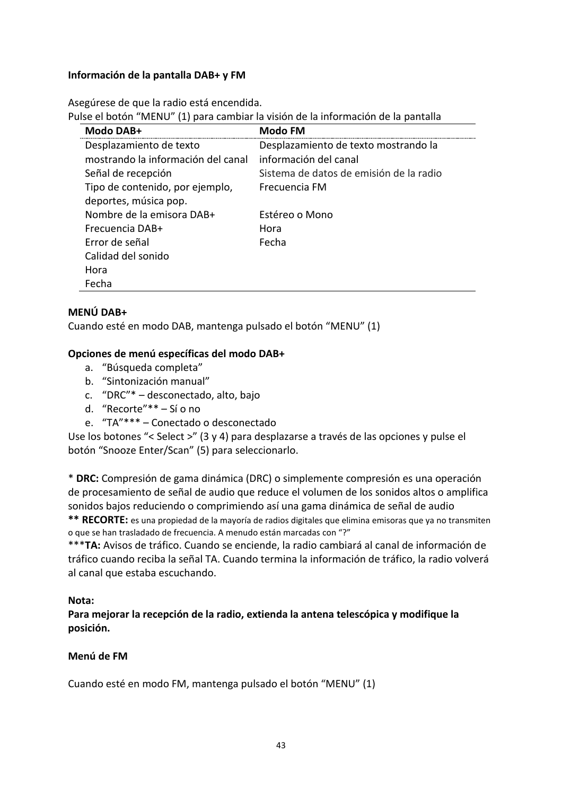## **Información de la pantalla DAB+ y FM**

Asegúrese de que la radio está encendida.

Pulse el botón "MENU" (1) para cambiar la visión de la información de la pantalla

| Modo DAB+                          | Modo FM                                 |
|------------------------------------|-----------------------------------------|
| Desplazamiento de texto            | Desplazamiento de texto mostrando la    |
| mostrando la información del canal | información del canal                   |
| Señal de recepción                 | Sistema de datos de emisión de la radio |
| Tipo de contenido, por ejemplo,    | Frecuencia FM                           |
| deportes, música pop.              |                                         |
| Nombre de la emisora DAB+          | Estéreo o Mono                          |
| Frecuencia DAB+                    | Hora                                    |
| Error de señal                     | Fecha                                   |
| Calidad del sonido                 |                                         |
| Hora                               |                                         |
| Fecha                              |                                         |

## **MENÚ DAB+**

Cuando esté en modo DAB, mantenga pulsado el botón "MENU" (1)

## **Opciones de menú específicas del modo DAB+**

- a. "Búsqueda completa"
- b. "Sintonización manual"
- c. "DRC"\* desconectado, alto, bajo
- d. "Recorte"\*\* Sí o no
- e. "TA"\*\*\* Conectado o desconectado

Use los botones "< Select >" (3 y 4) para desplazarse a través de las opciones y pulse el botón "Snooze Enter/Scan" (5) para seleccionarlo.

\* **DRC:** Compresión de gama dinámica (DRC) o simplemente compresión es una operación de procesamiento de señal de audio que reduce el volumen de los sonidos altos o amplifica sonidos bajos reduciendo o comprimiendo así una gama dinámica de señal de audio

**\*\* RECORTE:** es una propiedad de la mayoría de radios digitales que elimina emisoras que ya no transmiten o que se han trasladado de frecuencia. A menudo están marcadas con "?"

\*\*\***TA:** Avisos de tráfico. Cuando se enciende, la radio cambiará al canal de información de tráfico cuando reciba la señal TA. Cuando termina la información de tráfico, la radio volverá al canal que estaba escuchando.

#### **Nota:**

**Para mejorar la recepción de la radio, extienda la antena telescópica y modifique la posición.**

#### **Menú de FM**

Cuando esté en modo FM, mantenga pulsado el botón "MENU" (1)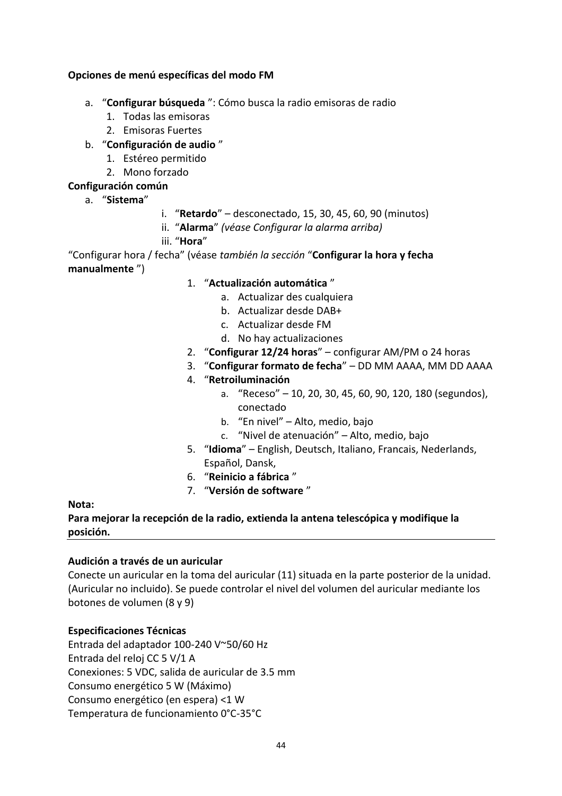## **Opciones de menú específicas del modo FM**

- a. "**Configurar búsqueda** ": Cómo busca la radio emisoras de radio
	- 1. Todas las emisoras
	- 2. Emisoras Fuertes
- b. "**Configuración de audio** "
	- 1. Estéreo permitido
	- 2. Mono forzado

## **Configuración común**

- a. "**Sistema**"
- i. "**Retardo**" desconectado, 15, 30, 45, 60, 90 (minutos)
- ii. "**Alarma**" *(véase Configurar la alarma arriba)*

iii. "**Hora**"

"Configurar hora / fecha" (véase *también la sección* "**Configurar la hora y fecha manualmente** ")

- 1. "**Actualización automática** "
	- a. Actualizar des cualquiera
	- b. Actualizar desde DAB+
	- c. Actualizar desde FM
	- d. No hay actualizaciones
- 2. "**Configurar 12/24 horas**" configurar AM/PM o 24 horas
- 3. "**Configurar formato de fecha**" DD MM AAAA, MM DD AAAA
- 4. "**Retroiluminación**
	- a. "Receso" 10, 20, 30, 45, 60, 90, 120, 180 (segundos), conectado
	- b. "En nivel" Alto, medio, bajo
	- c. "Nivel de atenuación" Alto, medio, bajo
- 5. "**Idioma**" English, Deutsch, Italiano, Francais, Nederlands, Español, Dansk,
- 6. "**Reinicio a fábrica** "
- 7. "**Versión de software** "

**Nota:**

**Para mejorar la recepción de la radio, extienda la antena telescópica y modifique la posición.**

## **Audición a través de un auricular**

Conecte un auricular en la toma del auricular (11) situada en la parte posterior de la unidad. (Auricular no incluido). Se puede controlar el nivel del volumen del auricular mediante los botones de volumen (8 y 9)

## **Especificaciones Técnicas**

Entrada del adaptador 100-240 V~50/60 Hz Entrada del reloj CC 5 V/1 A Conexiones: 5 VDC, salida de auricular de 3.5 mm Consumo energético 5 W (Máximo) Consumo energético (en espera) <1 W Temperatura de funcionamiento 0°C-35°C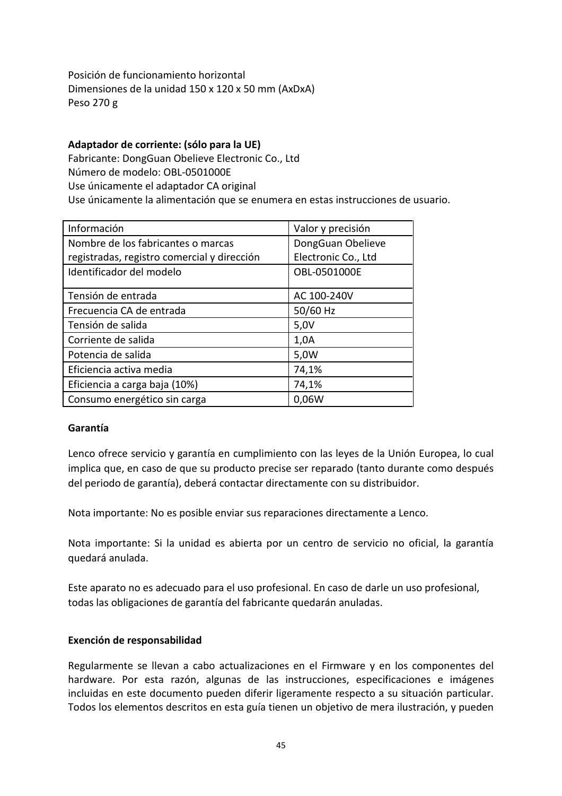Posición de funcionamiento horizontal Dimensiones de la unidad 150 x 120 x 50 mm (AxDxA) Peso 270 g

## **Adaptador de corriente: (sólo para la UE)**

Fabricante: DongGuan Obelieve Electronic Co., Ltd Número de modelo: OBL-0501000E Use únicamente el adaptador CA original Use únicamente la alimentación que se enumera en estas instrucciones de usuario.

| Información                                 | Valor y precisión   |
|---------------------------------------------|---------------------|
| Nombre de los fabricantes o marcas          | DongGuan Obelieve   |
| registradas, registro comercial y dirección | Electronic Co., Ltd |
| Identificador del modelo                    | OBL-0501000E        |
| Tensión de entrada                          | AC 100-240V         |
| Frecuencia CA de entrada                    | 50/60 Hz            |
| Tensión de salida                           | 5,0V                |
| Corriente de salida                         | 1,0A                |
| Potencia de salida                          | 5,0W                |
| Eficiencia activa media                     | 74,1%               |
| Eficiencia a carga baja (10%)               | 74,1%               |
| Consumo energético sin carga                | 0,06W               |

## **Garantía**

Lenco ofrece servicio y garantía en cumplimiento con las leyes de la Unión Europea, lo cual implica que, en caso de que su producto precise ser reparado (tanto durante como después del periodo de garantía), deberá contactar directamente con su distribuidor.

Nota importante: No es posible enviar sus reparaciones directamente a Lenco.

Nota importante: Si la unidad es abierta por un centro de servicio no oficial, la garantía quedará anulada.

Este aparato no es adecuado para el uso profesional. En caso de darle un uso profesional, todas las obligaciones de garantía del fabricante quedarán anuladas.

#### **Exención de responsabilidad**

Regularmente se llevan a cabo actualizaciones en el Firmware y en los componentes del hardware. Por esta razón, algunas de las instrucciones, especificaciones e imágenes incluidas en este documento pueden diferir ligeramente respecto a su situación particular. Todos los elementos descritos en esta guía tienen un objetivo de mera ilustración, y pueden